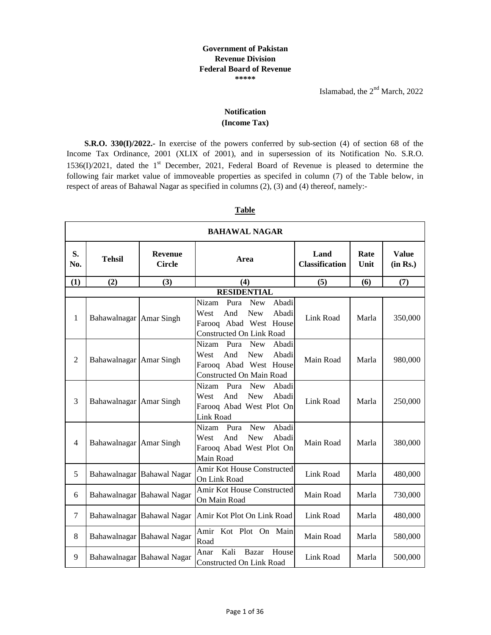Islamabad, the  $2<sup>nd</sup>$  March, 2022

٦

## **Notification (Income Tax)**

**S.R.O. 330(I)/2022.-** In exercise of the powers conferred by sub-section (4) of section 68 of the Income Tax Ordinance, 2001 (XLIX of 2001), and in supersession of its Notification No. S.R.O. 1536(I)/2021, dated the  $1<sup>st</sup>$  December, 2021, Federal Board of Revenue is pleased to determine the following fair market value of immoveable properties as specifed in column (7) of the Table below, in respect of areas of Bahawal Nagar as specified in columns (2), (3) and (4) thereof, namely:-

| <b>BAHAWAL NAGAR</b> |                         |                                 |                                                                                                                                         |                               |              |                          |  |  |
|----------------------|-------------------------|---------------------------------|-----------------------------------------------------------------------------------------------------------------------------------------|-------------------------------|--------------|--------------------------|--|--|
| S.<br>No.            | <b>Tehsil</b>           | <b>Revenue</b><br><b>Circle</b> | Area                                                                                                                                    | Land<br><b>Classification</b> | Rate<br>Unit | <b>Value</b><br>(in Rs.) |  |  |
| (1)                  | (2)                     | (3)                             | (4)                                                                                                                                     | (5)                           | (6)          | (7)                      |  |  |
|                      |                         |                                 | <b>RESIDENTIAL</b>                                                                                                                      |                               |              |                          |  |  |
| 1                    | Bahawalnagar Amar Singh |                                 | Nizam<br>Abadi<br>Pura<br><b>New</b><br><b>New</b><br>Abadi<br>And<br>West<br>Farooq Abad West House<br><b>Constructed On Link Road</b> | Link Road                     | Marla        | 350,000                  |  |  |
| $\overline{2}$       | Bahawalnagar Amar Singh |                                 | <b>New</b><br>Abadi<br>Nizam<br>Pura<br><b>New</b><br>Abadi<br>West<br>And<br>Farooq Abad West House<br>Constructed On Main Road        | Main Road                     | Marla        | 980,000                  |  |  |
| 3                    | Bahawalnagar Amar Singh |                                 | Abadi<br>Nizam<br>Pura<br><b>New</b><br><b>New</b><br>And<br>Abadi<br>West<br>Farooq Abad West Plot On<br><b>Link Road</b>              | Link Road                     | Marla        | 250,000                  |  |  |
| $\overline{4}$       | Bahawalnagar Amar Singh |                                 | Abadi<br>Nizam<br><b>New</b><br>Pura<br><b>New</b><br>And<br>Abadi<br>West<br>Farooq Abad West Plot On<br>Main Road                     | Main Road                     | Marla        | 380,000                  |  |  |
| 5                    |                         | Bahawalnagar Bahawal Nagar      | Amir Kot House Constructed<br>On Link Road                                                                                              | Link Road                     | Marla        | 480,000                  |  |  |
| 6                    |                         | Bahawalnagar Bahawal Nagar      | Amir Kot House Constructed<br>On Main Road                                                                                              | Main Road                     | Marla        | 730,000                  |  |  |
| 7                    |                         | Bahawalnagar Bahawal Nagar      | Amir Kot Plot On Link Road                                                                                                              | Link Road                     | Marla        | 480,000                  |  |  |
| 8                    |                         | Bahawalnagar Bahawal Nagar      | Amir Kot Plot On Main<br>Road                                                                                                           | Main Road                     | Marla        | 580,000                  |  |  |
| 9                    |                         | Bahawalnagar Bahawal Nagar      | Kali<br><b>Bazar</b><br>House<br>Anar<br>Constructed On Link Road                                                                       | Link Road                     | Marla        | 500,000                  |  |  |

## **Table**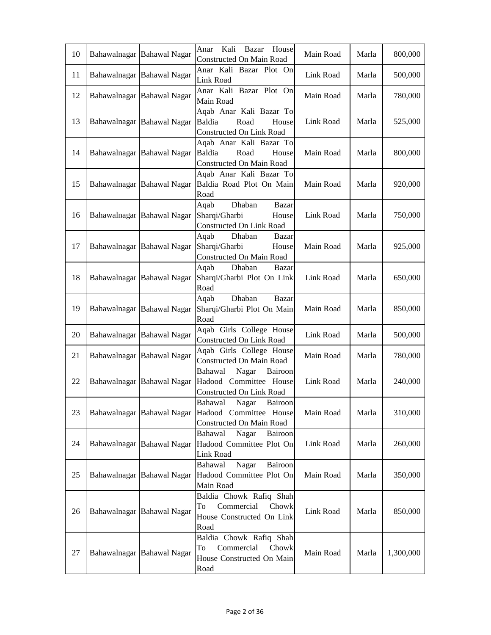| 10 | Bahawalnagar Bahawal Nagar | Anar<br>Kali<br>Bazar<br>House<br>Constructed On Main Road                                | Main Road | Marla | 800,000   |
|----|----------------------------|-------------------------------------------------------------------------------------------|-----------|-------|-----------|
| 11 | Bahawalnagar Bahawal Nagar | Anar Kali Bazar Plot On<br>Link Road                                                      | Link Road | Marla | 500,000   |
| 12 | Bahawalnagar Bahawal Nagar | Anar Kali Bazar Plot On<br>Main Road                                                      | Main Road | Marla | 780,000   |
| 13 | Bahawalnagar Bahawal Nagar | Aqab Anar Kali Bazar To<br>Baldia<br>Road<br>House<br>Constructed On Link Road            | Link Road | Marla | 525,000   |
| 14 | Bahawalnagar Bahawal Nagar | Aqab Anar Kali Bazar To<br>Baldia<br>Road<br>House<br>Constructed On Main Road            | Main Road | Marla | 800,000   |
| 15 | Bahawalnagar Bahawal Nagar | Aqab Anar Kali Bazar To<br>Baldia Road Plot On Main<br>Road                               | Main Road | Marla | 920,000   |
| 16 | Bahawalnagar Bahawal Nagar | Dhaban<br>Aqab<br>Bazar<br>Sharqi/Gharbi<br>House<br>Constructed On Link Road             | Link Road | Marla | 750,000   |
| 17 | Bahawalnagar Bahawal Nagar | Aqab<br>Dhaban<br>Bazar<br>Sharqi/Gharbi<br>House<br>Constructed On Main Road             | Main Road | Marla | 925,000   |
| 18 | Bahawalnagar Bahawal Nagar | Dhaban<br>Aqab<br>Bazar<br>Sharqi/Gharbi Plot On Link<br>Road                             | Link Road | Marla | 650,000   |
| 19 | Bahawalnagar Bahawal Nagar | Dhaban<br>Aqab<br>Bazar<br>Sharqi/Gharbi Plot On Main<br>Road                             | Main Road | Marla | 850,000   |
| 20 | Bahawalnagar Bahawal Nagar | Aqab Girls College House<br>Constructed On Link Road                                      | Link Road | Marla | 500,000   |
| 21 | Bahawalnagar Bahawal Nagar | Aqab Girls College House<br>Constructed On Main Road                                      | Main Road | Marla | 780,000   |
| 22 | Bahawalnagar Bahawal Nagar | Bahawal<br>Nagar<br>Bairoon<br>Hadood Committee House<br>Constructed On Link Road         | Link Road | Marla | 240,000   |
| 23 | Bahawalnagar Bahawal Nagar | Bahawal Nagar Bairoon<br>Hadood Committee House<br>Constructed On Main Road               | Main Road | Marla | 310,000   |
| 24 | Bahawalnagar Bahawal Nagar | Bahawal<br>Nagar<br>Bairoon<br>Hadood Committee Plot On<br>Link Road                      | Link Road | Marla | 260,000   |
| 25 | Bahawalnagar Bahawal Nagar | Nagar<br>Bairoon<br>Bahawal<br>Hadood Committee Plot On<br>Main Road                      | Main Road | Marla | 350,000   |
| 26 | Bahawalnagar Bahawal Nagar | Baldia Chowk Rafiq Shah<br>Commercial<br>Chowk<br>To<br>House Constructed On Link<br>Road | Link Road | Marla | 850,000   |
| 27 | Bahawalnagar Bahawal Nagar | Baldia Chowk Rafiq Shah<br>Commercial<br>Chowk<br>To<br>House Constructed On Main<br>Road | Main Road | Marla | 1,300,000 |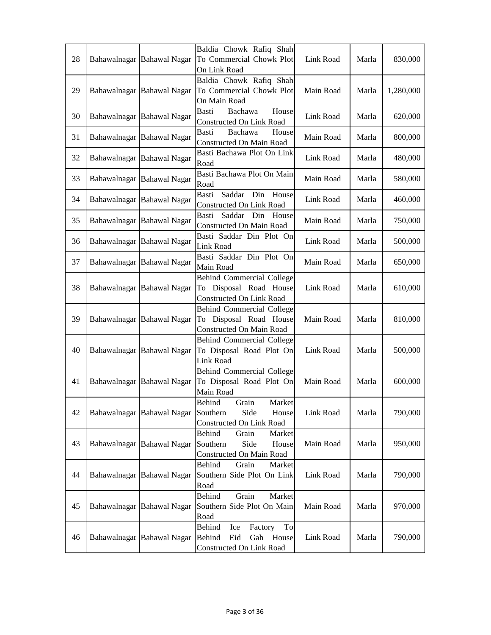|    |                            | Baldia Chowk Rafiq Shah             |           |       |           |
|----|----------------------------|-------------------------------------|-----------|-------|-----------|
| 28 | Bahawalnagar Bahawal Nagar | To Commercial Chowk Plot            | Link Road | Marla | 830,000   |
|    |                            | On Link Road                        |           |       |           |
|    |                            | Baldia Chowk Rafiq Shah             |           |       |           |
| 29 | Bahawalnagar Bahawal Nagar | To Commercial Chowk Plot            | Main Road | Marla | 1,280,000 |
|    |                            | On Main Road                        |           |       |           |
| 30 | Bahawalnagar Bahawal Nagar | Basti<br>Bachawa<br>House           | Link Road | Marla | 620,000   |
|    |                            | Constructed On Link Road            |           |       |           |
| 31 | Bahawalnagar Bahawal Nagar | Basti<br>Bachawa<br>House           | Main Road | Marla | 800,000   |
|    |                            | Constructed On Main Road            |           |       |           |
| 32 | Bahawalnagar Bahawal Nagar | Basti Bachawa Plot On Link          | Link Road | Marla | 480,000   |
|    |                            | Road                                |           |       |           |
| 33 | Bahawalnagar Bahawal Nagar | Basti Bachawa Plot On Main          | Main Road | Marla | 580,000   |
|    |                            | Road                                |           |       |           |
| 34 | Bahawalnagar Bahawal Nagar | <b>Basti</b><br>Saddar<br>Din House | Link Road | Marla | 460,000   |
|    |                            | Constructed On Link Road            |           |       |           |
| 35 | Bahawalnagar Bahawal Nagar | Saddar Din House<br>Basti           | Main Road | Marla | 750,000   |
|    |                            | Constructed On Main Road            |           |       |           |
| 36 | Bahawalnagar Bahawal Nagar | Basti Saddar Din Plot On            | Link Road | Marla | 500,000   |
|    |                            | Link Road                           |           |       |           |
| 37 | Bahawalnagar Bahawal Nagar | Basti Saddar Din Plot On            | Main Road | Marla | 650,000   |
|    |                            | Main Road                           |           |       |           |
|    |                            | <b>Behind Commercial College</b>    |           |       |           |
| 38 | Bahawalnagar Bahawal Nagar | To Disposal Road House              | Link Road | Marla | 610,000   |
|    |                            | Constructed On Link Road            |           |       |           |
|    |                            | Behind Commercial College           |           |       |           |
| 39 | Bahawalnagar Bahawal Nagar | To Disposal Road House              | Main Road | Marla | 810,000   |
|    |                            | Constructed On Main Road            |           |       |           |
|    |                            | <b>Behind Commercial College</b>    |           |       |           |
| 40 | Bahawalnagar Bahawal Nagar | To Disposal Road Plot On            | Link Road | Marla | 500,000   |
|    |                            | Link Road                           |           |       |           |
|    |                            | <b>Behind Commercial College</b>    |           |       |           |
| 41 | Bahawalnagar Bahawal Nagar | To Disposal Road Plot On            | Main Road | Marla | 600,000   |
|    |                            | Main Road                           |           |       |           |
|    |                            | Grain<br>Behind<br>Market           |           |       |           |
| 42 | Bahawalnagar Bahawal Nagar | Side<br>Southern<br>House           | Link Road | Marla | 790,000   |
|    |                            | Constructed On Link Road            |           |       |           |
|    |                            | Grain<br>Market<br>Behind           |           |       |           |
| 43 | Bahawalnagar Bahawal Nagar | Southern<br>Side<br>House           | Main Road | Marla | 950,000   |
|    |                            | Constructed On Main Road            |           |       |           |
|    |                            | Behind<br>Grain<br>Market           |           |       |           |
| 44 | Bahawalnagar Bahawal Nagar | Southern Side Plot On Link          | Link Road | Marla | 790,000   |
|    |                            | Road                                |           |       |           |
|    |                            | Behind<br>Grain<br>Market           |           |       |           |
| 45 | Bahawalnagar Bahawal Nagar | Southern Side Plot On Main          | Main Road | Marla | 970,000   |
|    |                            | Road                                |           |       |           |
|    |                            | Behind<br>To<br>Ice<br>Factory      |           |       |           |
| 46 | Bahawalnagar Bahawal Nagar | Eid<br>Gah House<br>Behind          | Link Road | Marla | 790,000   |
|    |                            | Constructed On Link Road            |           |       |           |
|    |                            |                                     |           |       |           |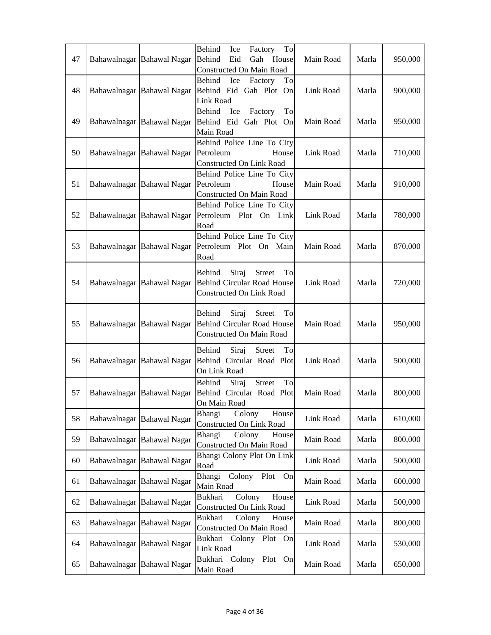| 47 | Bahawalnagar Bahawal Nagar | Behind<br>Ice<br>To<br>Factory<br>Behind<br>Gah House<br>Eid                                            | Main Road | Marla | 950,000 |
|----|----------------------------|---------------------------------------------------------------------------------------------------------|-----------|-------|---------|
| 48 | Bahawalnagar Bahawal Nagar | Constructed On Main Road<br>Behind<br>Ice<br>Factory<br>To<br>Behind Eid Gah Plot On<br>Link Road       | Link Road | Marla | 900,000 |
| 49 | Bahawalnagar Bahawal Nagar | Behind<br>To<br>Ice<br>Factory<br>Behind Eid Gah Plot On<br>Main Road                                   | Main Road | Marla | 950,000 |
| 50 | Bahawalnagar Bahawal Nagar | Behind Police Line To City<br>Petroleum<br>House<br>Constructed On Link Road                            | Link Road | Marla | 710,000 |
| 51 | Bahawalnagar Bahawal Nagar | Behind Police Line To City<br>Petroleum<br>House<br>Constructed On Main Road                            | Main Road | Marla | 910,000 |
| 52 | Bahawalnagar Bahawal Nagar | Behind Police Line To City<br>Petroleum Plot On Link<br>Road                                            | Link Road | Marla | 780,000 |
| 53 | Bahawalnagar Bahawal Nagar | Behind Police Line To City<br>Petroleum Plot On Main<br>Road                                            | Main Road | Marla | 870,000 |
| 54 | Bahawalnagar Bahawal Nagar | Behind<br>Siraj<br><b>Street</b><br>To<br><b>Behind Circular Road House</b><br>Constructed On Link Road | Link Road | Marla | 720,000 |
| 55 | Bahawalnagar Bahawal Nagar | Siraj<br>Behind<br><b>Street</b><br>To<br><b>Behind Circular Road House</b><br>Constructed On Main Road | Main Road | Marla | 950,000 |
| 56 | Bahawalnagar Bahawal Nagar | Behind<br>Siraj<br><b>Street</b><br>To<br>Behind Circular Road Plot<br>On Link Road                     | Link Road | Marla | 500,000 |
| 57 | Bahawalnagar Bahawal Nagar | Behind<br><b>Street</b><br>To<br>Siraj<br>Behind Circular Road Plot<br>On Main Road                     | Main Road | Marla | 800,000 |
| 58 | Bahawalnagar Bahawal Nagar | Bhangi<br>Colony<br>House<br>Constructed On Link Road                                                   | Link Road | Marla | 610,000 |
| 59 | Bahawalnagar Bahawal Nagar | Bhangi<br>Colony<br>House<br>Constructed On Main Road                                                   | Main Road | Marla | 800,000 |
| 60 | Bahawalnagar Bahawal Nagar | Bhangi Colony Plot On Link<br>Road                                                                      | Link Road | Marla | 500,000 |
| 61 | Bahawalnagar Bahawal Nagar | Bhangi Colony Plot On<br>Main Road                                                                      | Main Road | Marla | 600,000 |
| 62 | Bahawalnagar Bahawal Nagar | Colony<br>Bukhari<br>House<br>Constructed On Link Road                                                  | Link Road | Marla | 500,000 |
| 63 | Bahawalnagar Bahawal Nagar | Colony<br>Bukhari<br>House<br>Constructed On Main Road                                                  | Main Road | Marla | 800,000 |
| 64 | Bahawalnagar Bahawal Nagar | Bukhari Colony Plot On<br>Link Road                                                                     | Link Road | Marla | 530,000 |
| 65 | Bahawalnagar Bahawal Nagar | Bukhari Colony<br>Plot<br>On<br>Main Road                                                               | Main Road | Marla | 650,000 |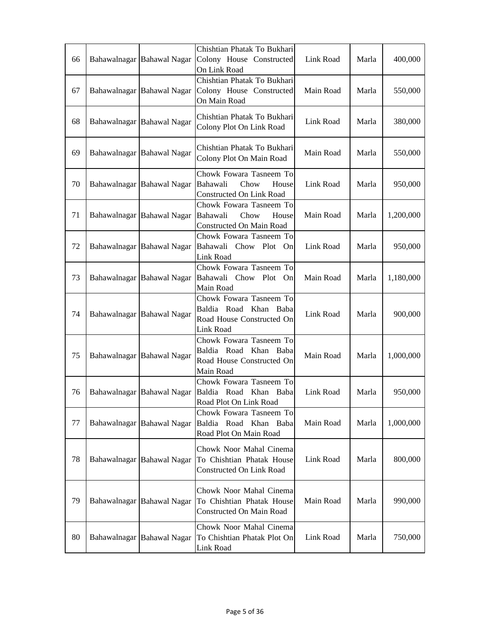| 66 | Bahawalnagar Bahawal Nagar | Chishtian Phatak To Bukhari<br>Colony House Constructed<br>On Link Road                    | Link Road | Marla | 400,000   |
|----|----------------------------|--------------------------------------------------------------------------------------------|-----------|-------|-----------|
| 67 | Bahawalnagar Bahawal Nagar | Chishtian Phatak To Bukhari<br>Colony House Constructed<br>On Main Road                    | Main Road | Marla | 550,000   |
| 68 | Bahawalnagar Bahawal Nagar | Chishtian Phatak To Bukhari<br>Colony Plot On Link Road                                    | Link Road | Marla | 380,000   |
| 69 | Bahawalnagar Bahawal Nagar | Chishtian Phatak To Bukhari<br>Colony Plot On Main Road                                    | Main Road | Marla | 550,000   |
| 70 | Bahawalnagar Bahawal Nagar | Chowk Fowara Tasneem To<br>Bahawali<br>Chow<br>House<br>Constructed On Link Road           | Link Road | Marla | 950,000   |
| 71 | Bahawalnagar Bahawal Nagar | Chowk Fowara Tasneem To<br>Chow<br>Bahawali<br>House<br>Constructed On Main Road           | Main Road | Marla | 1,200,000 |
| 72 | Bahawalnagar Bahawal Nagar | Chowk Fowara Tasneem To<br>Bahawali Chow Plot On<br>Link Road                              | Link Road | Marla | 950,000   |
| 73 | Bahawalnagar Bahawal Nagar | Chowk Fowara Tasneem To<br>Bahawali Chow Plot On<br>Main Road                              | Main Road | Marla | 1,180,000 |
| 74 | Bahawalnagar Bahawal Nagar | Chowk Fowara Tasneem To<br>Baldia Road Khan Baba<br>Road House Constructed On<br>Link Road | Link Road | Marla | 900,000   |
| 75 | Bahawalnagar Bahawal Nagar | Chowk Fowara Tasneem To<br>Baldia Road Khan Baba<br>Road House Constructed On<br>Main Road | Main Road | Marla | 1,000,000 |
| 76 | Bahawalnagar Bahawal Nagar | Chowk Fowara Tasneem To<br>Baldia Road Khan Baba<br>Road Plot On Link Road                 | Link Road | Marla | 950,000   |
| 77 | Bahawalnagar Bahawal Nagar | Chowk Fowara Tasneem To<br>Baldia Road Khan Baba<br>Road Plot On Main Road                 | Main Road | Marla | 1,000,000 |
| 78 | Bahawalnagar Bahawal Nagar | Chowk Noor Mahal Cinema<br>To Chishtian Phatak House<br>Constructed On Link Road           | Link Road | Marla | 800,000   |
| 79 | Bahawalnagar Bahawal Nagar | Chowk Noor Mahal Cinema<br>To Chishtian Phatak House<br>Constructed On Main Road           | Main Road | Marla | 990,000   |
| 80 | Bahawalnagar Bahawal Nagar | Chowk Noor Mahal Cinema<br>To Chishtian Phatak Plot On<br>Link Road                        | Link Road | Marla | 750,000   |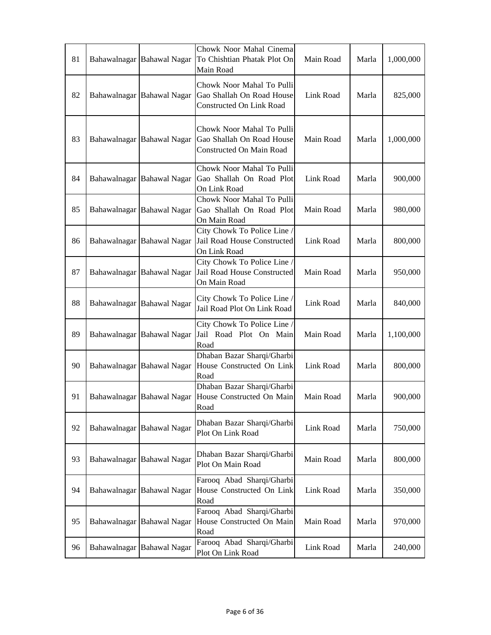| 81 |              | Bahawalnagar Bahawal Nagar | Chowk Noor Mahal Cinema<br>To Chishtian Phatak Plot On<br>Main Road                       | Main Road | Marla | 1,000,000 |
|----|--------------|----------------------------|-------------------------------------------------------------------------------------------|-----------|-------|-----------|
| 82 |              | Bahawalnagar Bahawal Nagar | Chowk Noor Mahal To Pulli<br>Gao Shallah On Road House<br><b>Constructed On Link Road</b> | Link Road | Marla | 825,000   |
| 83 |              | Bahawalnagar Bahawal Nagar | Chowk Noor Mahal To Pulli<br>Gao Shallah On Road House<br><b>Constructed On Main Road</b> | Main Road | Marla | 1,000,000 |
| 84 |              | Bahawalnagar Bahawal Nagar | Chowk Noor Mahal To Pulli<br>Gao Shallah On Road Plot<br>On Link Road                     | Link Road | Marla | 900,000   |
| 85 |              | Bahawalnagar Bahawal Nagar | Chowk Noor Mahal To Pulli<br>Gao Shallah On Road Plot<br>On Main Road                     | Main Road | Marla | 980,000   |
| 86 |              | Bahawalnagar Bahawal Nagar | City Chowk To Police Line /<br>Jail Road House Constructed<br>On Link Road                | Link Road | Marla | 800,000   |
| 87 |              | Bahawalnagar Bahawal Nagar | City Chowk To Police Line /<br>Jail Road House Constructed<br>On Main Road                | Main Road | Marla | 950,000   |
| 88 |              | Bahawalnagar Bahawal Nagar | City Chowk To Police Line /<br>Jail Road Plot On Link Road                                | Link Road | Marla | 840,000   |
| 89 |              | Bahawalnagar Bahawal Nagar | City Chowk To Police Line /<br>Jail Road Plot On Main<br>Road                             | Main Road | Marla | 1,100,000 |
| 90 | Bahawalnagar | <b>Bahawal Nagar</b>       | Dhaban Bazar Sharqi/Gharbi<br>House Constructed On Link<br>Road                           | Link Road | Marla | 800,000   |
| 91 |              | Bahawalnagar Bahawal Nagar | Dhaban Bazar Sharqi/Gharbi<br>House Constructed On Main<br>Road                           | Main Road | Marla | 900,000   |
| 92 | Bahawalnagar | <b>Bahawal Nagar</b>       | Dhaban Bazar Sharqi/Gharbi<br>Plot On Link Road                                           | Link Road | Marla | 750,000   |
| 93 |              | Bahawalnagar Bahawal Nagar | Dhaban Bazar Sharqi/Gharbi<br>Plot On Main Road                                           | Main Road | Marla | 800,000   |
| 94 |              | Bahawalnagar Bahawal Nagar | Farooq Abad Sharqi/Gharbi<br>House Constructed On Link<br>Road                            | Link Road | Marla | 350,000   |
| 95 | Bahawalnagar | <b>Bahawal Nagar</b>       | Farooq Abad Sharqi/Gharbi<br>House Constructed On Main<br>Road                            | Main Road | Marla | 970,000   |
| 96 |              | Bahawalnagar Bahawal Nagar | Farooq Abad Sharqi/Gharbi<br>Plot On Link Road                                            | Link Road | Marla | 240,000   |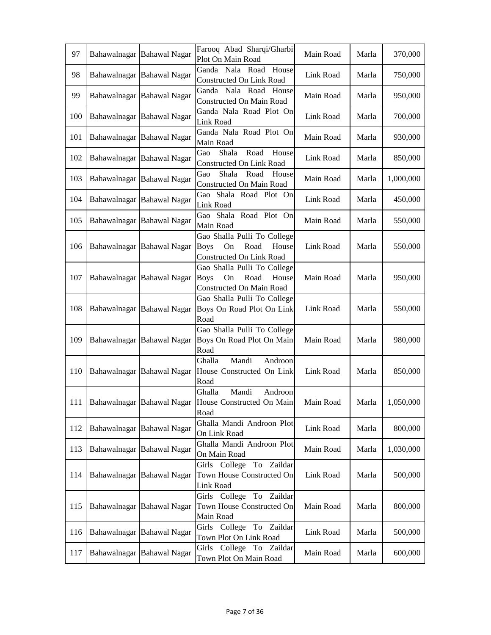| 97  | Bahawalnagar Bahawal Nagar | Farooq Abad Sharqi/Gharbi<br>Plot On Main Road                                                       | Main Road | Marla | 370,000   |
|-----|----------------------------|------------------------------------------------------------------------------------------------------|-----------|-------|-----------|
| 98  | Bahawalnagar Bahawal Nagar | Ganda Nala Road House<br>Constructed On Link Road                                                    | Link Road | Marla | 750,000   |
| 99  | Bahawalnagar Bahawal Nagar | Ganda Nala Road House<br>Constructed On Main Road                                                    | Main Road | Marla | 950,000   |
| 100 | Bahawalnagar Bahawal Nagar | Ganda Nala Road Plot On<br>Link Road                                                                 | Link Road | Marla | 700,000   |
| 101 | Bahawalnagar Bahawal Nagar | Ganda Nala Road Plot On<br>Main Road                                                                 | Main Road | Marla | 930,000   |
| 102 | Bahawalnagar Bahawal Nagar | Road<br>Shala<br>House<br>Gao<br>Constructed On Link Road                                            | Link Road | Marla | 850,000   |
| 103 | Bahawalnagar Bahawal Nagar | Shala<br>Gao<br>Road<br>House<br>Constructed On Main Road                                            | Main Road | Marla | 1,000,000 |
| 104 | Bahawalnagar Bahawal Nagar | Gao Shala Road Plot On<br>Link Road                                                                  | Link Road | Marla | 450,000   |
| 105 | Bahawalnagar Bahawal Nagar | Gao Shala Road Plot On<br>Main Road                                                                  | Main Road | Marla | 550,000   |
| 106 | Bahawalnagar Bahawal Nagar | Gao Shalla Pulli To College<br><b>Boys</b><br>Road<br>On<br>House<br>Constructed On Link Road        | Link Road | Marla | 550,000   |
| 107 | Bahawalnagar Bahawal Nagar | Gao Shalla Pulli To College<br><b>Boys</b><br>On<br>Road<br>House<br>Constructed On Main Road        | Main Road | Marla | 950,000   |
| 108 | Bahawalnagar Bahawal Nagar | Gao Shalla Pulli To College<br>Boys On Road Plot On Link<br>Road                                     | Link Road | Marla | 550,000   |
| 109 | Bahawalnagar Bahawal Nagar | Gao Shalla Pulli To College<br>Boys On Road Plot On Main<br>Road                                     | Main Road | Marla | 980,000   |
| 110 | Bahawalnagar Bahawal Nagar | Mandi<br>Androon<br>Ghalla<br>House Constructed On Link<br>Road                                      | Link Road | Marla | 850,000   |
|     |                            | Mandi<br>Ghalla<br>Androon<br>111   Bahawalnagar   Bahawal Nagar   House Constructed On Main<br>Road | Main Road | Marla | 1,050,000 |
| 112 | Bahawalnagar Bahawal Nagar | Ghalla Mandi Androon Plot<br>On Link Road                                                            | Link Road | Marla | 800,000   |
| 113 | Bahawalnagar Bahawal Nagar | Ghalla Mandi Androon Plot<br>On Main Road                                                            | Main Road | Marla | 1,030,000 |
| 114 | Bahawalnagar Bahawal Nagar | Girls College To Zaildar<br>Town House Constructed On<br>Link Road                                   | Link Road | Marla | 500,000   |
| 115 | Bahawalnagar Bahawal Nagar | Girls College To Zaildar<br>Town House Constructed On<br>Main Road                                   | Main Road | Marla | 800,000   |
| 116 | Bahawalnagar Bahawal Nagar | Girls College To Zaildar<br>Town Plot On Link Road                                                   | Link Road | Marla | 500,000   |
| 117 | Bahawalnagar Bahawal Nagar | Girls College To Zaildar<br>Town Plot On Main Road                                                   | Main Road | Marla | 600,000   |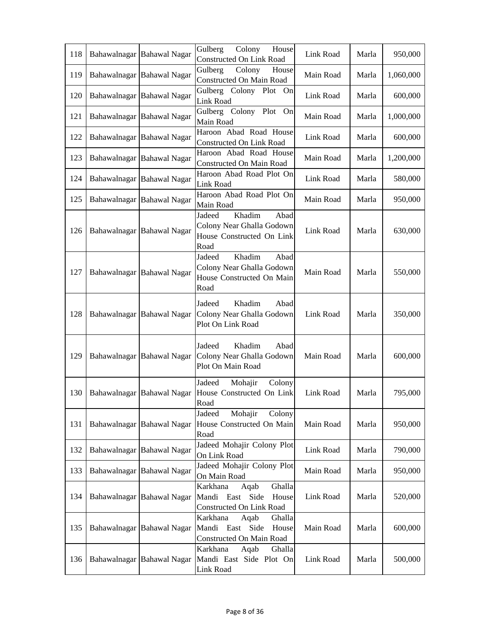| 118 | Bahawalnagar Bahawal Nagar | Gulberg<br>Colony<br>House<br>Constructed On Link Road                                     | Link Road | Marla | 950,000   |
|-----|----------------------------|--------------------------------------------------------------------------------------------|-----------|-------|-----------|
| 119 | Bahawalnagar Bahawal Nagar | Colony<br>Gulberg<br>House<br>Constructed On Main Road                                     | Main Road | Marla | 1,060,000 |
| 120 | Bahawalnagar Bahawal Nagar | Gulberg Colony Plot On<br><b>Link Road</b>                                                 | Link Road | Marla | 600,000   |
| 121 | Bahawalnagar Bahawal Nagar | Gulberg Colony Plot<br>On<br>Main Road                                                     | Main Road | Marla | 1,000,000 |
| 122 | Bahawalnagar Bahawal Nagar | Haroon Abad Road House<br>Constructed On Link Road                                         | Link Road | Marla | 600,000   |
| 123 | Bahawalnagar Bahawal Nagar | Haroon Abad Road House<br>Constructed On Main Road                                         | Main Road | Marla | 1,200,000 |
| 124 | Bahawalnagar Bahawal Nagar | Haroon Abad Road Plot On<br>Link Road                                                      | Link Road | Marla | 580,000   |
| 125 | Bahawalnagar Bahawal Nagar | Haroon Abad Road Plot On<br>Main Road                                                      | Main Road | Marla | 950,000   |
| 126 | Bahawalnagar Bahawal Nagar | Khadim<br>Abad<br>Jadeed<br>Colony Near Ghalla Godown<br>House Constructed On Link<br>Road | Link Road | Marla | 630,000   |
| 127 | Bahawalnagar Bahawal Nagar | Khadim<br>Jadeed<br>Abad<br>Colony Near Ghalla Godown<br>House Constructed On Main<br>Road | Main Road | Marla | 550,000   |
| 128 | Bahawalnagar Bahawal Nagar | Khadim<br>Abad<br>Jadeed<br>Colony Near Ghalla Godown<br>Plot On Link Road                 | Link Road | Marla | 350,000   |
| 129 | Bahawalnagar Bahawal Nagar | Jadeed<br>Khadim<br>Abad<br>Colony Near Ghalla Godown<br>Plot On Main Road                 | Main Road | Marla | 600,000   |
| 130 | Bahawalnagar Bahawal Nagar | Jadeed<br>Mohajir<br>Colony<br>House Constructed On Link<br>Road                           | Link Road | Marla | 795,000   |
| 131 | Bahawalnagar Bahawal Nagar | Mohajir<br>Jadeed<br>Colony<br>House Constructed On Main<br>Road                           | Main Road | Marla | 950,000   |
| 132 | Bahawalnagar Bahawal Nagar | Jadeed Mohajir Colony Plot<br>On Link Road                                                 | Link Road | Marla | 790,000   |
| 133 | Bahawalnagar Bahawal Nagar | Jadeed Mohajir Colony Plot<br>On Main Road                                                 | Main Road | Marla | 950,000   |
| 134 | Bahawalnagar Bahawal Nagar | Ghalla<br>Karkhana<br>Aqab<br>Mandi East<br>Side<br>House<br>Constructed On Link Road      | Link Road | Marla | 520,000   |
| 135 | Bahawalnagar Bahawal Nagar | Karkhana<br>Aqab<br>Ghalla<br>Mandi East Side<br>House<br>Constructed On Main Road         | Main Road | Marla | 600,000   |
| 136 | Bahawalnagar Bahawal Nagar | Karkhana<br>Aqab<br>Ghalla<br>Mandi East Side Plot On<br>Link Road                         | Link Road | Marla | 500,000   |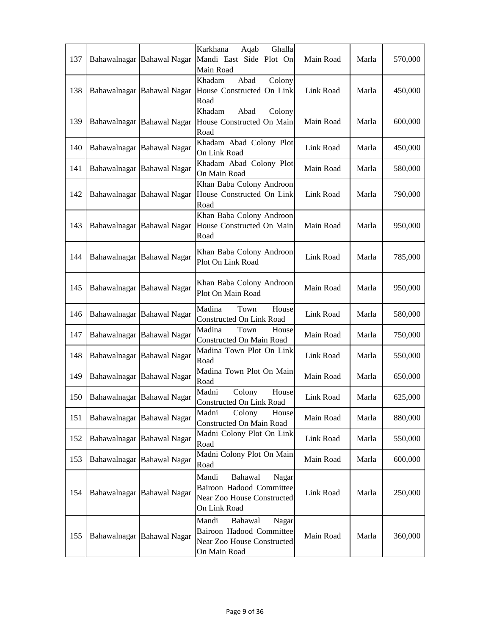| 137 | Bahawalnagar Bahawal Nagar | Ghalla<br>Karkhana<br>Aqab<br>Mandi East Side Plot On<br>Main Road                                         | Main Road | Marla | 570,000 |
|-----|----------------------------|------------------------------------------------------------------------------------------------------------|-----------|-------|---------|
| 138 | Bahawalnagar Bahawal Nagar | Khadam<br>Abad<br>Colony<br>House Constructed On Link<br>Road                                              | Link Road | Marla | 450,000 |
| 139 | Bahawalnagar Bahawal Nagar | Khadam<br>Abad<br>Colony<br>House Constructed On Main<br>Road                                              | Main Road | Marla | 600,000 |
| 140 | Bahawalnagar Bahawal Nagar | Khadam Abad Colony Plot<br>On Link Road                                                                    | Link Road | Marla | 450,000 |
| 141 | Bahawalnagar Bahawal Nagar | Khadam Abad Colony Plot<br>On Main Road                                                                    | Main Road | Marla | 580,000 |
| 142 | Bahawalnagar Bahawal Nagar | Khan Baba Colony Androon<br>House Constructed On Link<br>Road                                              | Link Road | Marla | 790,000 |
| 143 | Bahawalnagar Bahawal Nagar | Khan Baba Colony Androon<br>House Constructed On Main<br>Road                                              | Main Road | Marla | 950,000 |
| 144 | Bahawalnagar Bahawal Nagar | Khan Baba Colony Androon<br>Plot On Link Road                                                              | Link Road | Marla | 785,000 |
| 145 | Bahawalnagar Bahawal Nagar | Khan Baba Colony Androon<br>Plot On Main Road                                                              | Main Road | Marla | 950,000 |
| 146 | Bahawalnagar Bahawal Nagar | Madina<br>Town<br>House<br>Constructed On Link Road                                                        | Link Road | Marla | 580,000 |
| 147 | Bahawalnagar Bahawal Nagar | Madina<br>Town<br>House<br>Constructed On Main Road                                                        | Main Road | Marla | 750,000 |
| 148 | Bahawalnagar Bahawal Nagar | Madina Town Plot On Link<br>Road                                                                           | Link Road | Marla | 550,000 |
| 149 | Bahawalnagar Bahawal Nagar | Madina Town Plot On Main<br>Road                                                                           | Main Road | Marla | 650,000 |
| 150 | Bahawalnagar Bahawal Nagar | Colony<br>Madni<br>House<br>Constructed On Link Road                                                       | Link Road | Marla | 625,000 |
| 151 | Bahawalnagar Bahawal Nagar | Colony<br>Madni<br>House<br>Constructed On Main Road                                                       | Main Road | Marla | 880,000 |
| 152 | Bahawalnagar Bahawal Nagar | Madni Colony Plot On Link<br>Road                                                                          | Link Road | Marla | 550,000 |
| 153 | Bahawalnagar Bahawal Nagar | Madni Colony Plot On Main<br>Road                                                                          | Main Road | Marla | 600,000 |
| 154 | Bahawalnagar Bahawal Nagar | Mandi<br>Bahawal<br>Nagar<br><b>Bairoon Hadood Committee</b><br>Near Zoo House Constructed<br>On Link Road | Link Road | Marla | 250,000 |
| 155 | Bahawalnagar Bahawal Nagar | Mandi<br>Bahawal<br>Nagar<br>Bairoon Hadood Committee<br>Near Zoo House Constructed<br>On Main Road        | Main Road | Marla | 360,000 |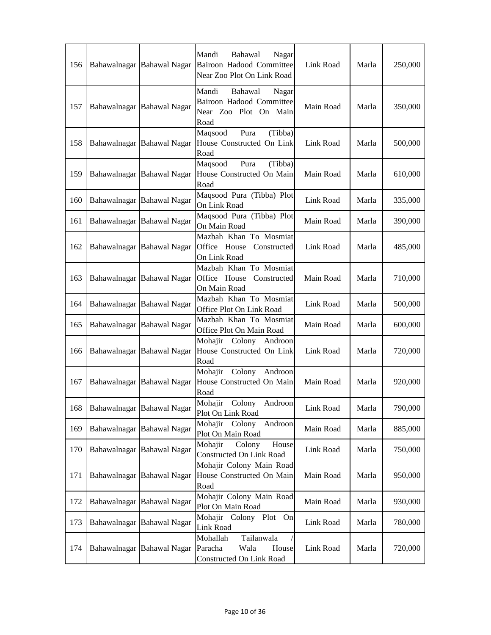| 156 |              | Bahawalnagar Bahawal Nagar | Mandi<br>Bahawal<br>Nagar<br><b>Bairoon Hadood Committee</b><br>Near Zoo Plot On Link Road | Link Road | Marla | 250,000 |
|-----|--------------|----------------------------|--------------------------------------------------------------------------------------------|-----------|-------|---------|
| 157 |              | Bahawalnagar Bahawal Nagar | Bahawal<br>Mandi<br>Nagar<br>Bairoon Hadood Committee<br>Near Zoo Plot On Main<br>Road     | Main Road | Marla | 350,000 |
| 158 |              | Bahawalnagar Bahawal Nagar | Pura<br>Maqsood<br>(Tibba)<br>House Constructed On Link<br>Road                            | Link Road | Marla | 500,000 |
| 159 |              | Bahawalnagar Bahawal Nagar | Pura<br>(Tibba)<br>Maqsood<br>House Constructed On Main<br>Road                            | Main Road | Marla | 610,000 |
| 160 |              | Bahawalnagar Bahawal Nagar | Maqsood Pura (Tibba) Plot<br>On Link Road                                                  | Link Road | Marla | 335,000 |
| 161 |              | Bahawalnagar Bahawal Nagar | Maqsood Pura (Tibba) Plot<br>On Main Road                                                  | Main Road | Marla | 390,000 |
| 162 |              | Bahawalnagar Bahawal Nagar | Mazbah Khan To Mosmiat<br>Office House<br>Constructed<br>On Link Road                      | Link Road | Marla | 485,000 |
| 163 |              | Bahawalnagar Bahawal Nagar | Mazbah Khan To Mosmiat<br>Office House<br>Constructed<br>On Main Road                      | Main Road | Marla | 710,000 |
| 164 |              | Bahawalnagar Bahawal Nagar | Mazbah Khan To Mosmiat<br>Office Plot On Link Road                                         | Link Road | Marla | 500,000 |
| 165 |              | Bahawalnagar Bahawal Nagar | Mazbah Khan To Mosmiat<br>Office Plot On Main Road                                         | Main Road | Marla | 600,000 |
| 166 |              | Bahawalnagar Bahawal Nagar | Mohajir Colony Androon<br>House Constructed On Link<br>Road                                | Link Road | Marla | 720,000 |
| 167 | Bahawalnagar | <b>Bahawal Nagar</b>       | Mohajir Colony<br>Androon<br>House Constructed On Main<br>Road                             | Main Road | Marla | 920,000 |
| 168 |              | Bahawalnagar Bahawal Nagar | Mohajir Colony Androon<br>Plot On Link Road                                                | Link Road | Marla | 790,000 |
| 169 |              | Bahawalnagar Bahawal Nagar | Mohajir Colony<br>Androon<br>Plot On Main Road                                             | Main Road | Marla | 885,000 |
| 170 | Bahawalnagar | <b>Bahawal Nagar</b>       | Mohajir<br>Colony<br>House<br>Constructed On Link Road                                     | Link Road | Marla | 750,000 |
| 171 |              | Bahawalnagar Bahawal Nagar | Mohajir Colony Main Road<br>House Constructed On Main<br>Road                              | Main Road | Marla | 950,000 |
| 172 |              | Bahawalnagar Bahawal Nagar | Mohajir Colony Main Road<br>Plot On Main Road                                              | Main Road | Marla | 930,000 |
| 173 |              | Bahawalnagar Bahawal Nagar | Mohajir Colony Plot On<br>Link Road                                                        | Link Road | Marla | 780,000 |
| 174 |              | Bahawalnagar Bahawal Nagar | Tailanwala<br>Mohallah<br>Paracha<br>Wala<br>House<br>Constructed On Link Road             | Link Road | Marla | 720,000 |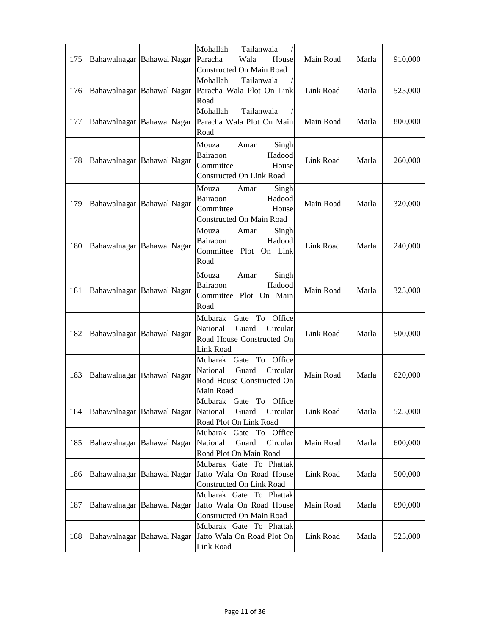| 175 | Bahawalnagar Bahawal Nagar | Mohallah<br>Tailanwala<br>Paracha<br>Wala<br>House<br>Constructed On Main Road                          | Main Road | Marla | 910,000 |
|-----|----------------------------|---------------------------------------------------------------------------------------------------------|-----------|-------|---------|
| 176 | Bahawalnagar Bahawal Nagar | Mohallah<br>Tailanwala<br>Paracha Wala Plot On Link<br>Road                                             | Link Road | Marla | 525,000 |
| 177 | Bahawalnagar Bahawal Nagar | Tailanwala<br>Mohallah<br>Paracha Wala Plot On Main<br>Road                                             | Main Road | Marla | 800,000 |
| 178 | Bahawalnagar Bahawal Nagar | Singh<br>Mouza<br>Amar<br>Hadood<br>Bairaoon<br>Committee<br>House<br>Constructed On Link Road          | Link Road | Marla | 260,000 |
| 179 | Bahawalnagar Bahawal Nagar | Mouza<br>Amar<br>Singh<br>Bairaoon<br>Hadood<br>Committee<br>House<br>Constructed On Main Road          | Main Road | Marla | 320,000 |
| 180 | Bahawalnagar Bahawal Nagar | Mouza<br>Singh<br>Amar<br>Bairaoon<br>Hadood<br>Committee Plot On Link<br>Road                          | Link Road | Marla | 240,000 |
| 181 | Bahawalnagar Bahawal Nagar | Mouza<br>Singh<br>Amar<br>Hadood<br>Bairaoon<br>Committee Plot On Main<br>Road                          | Main Road | Marla | 325,000 |
| 182 | Bahawalnagar Bahawal Nagar | To Office<br>Gate<br>Mubarak<br>National<br>Guard<br>Circular<br>Road House Constructed On<br>Link Road | Link Road | Marla | 500,000 |
| 183 | Bahawalnagar Bahawal Nagar | Mubarak Gate To Office<br>National<br>Guard<br>Circular<br>Road House Constructed On<br>Main Road       | Main Road | Marla | 620,000 |
| 184 | Bahawalnagar Bahawal Nagar | Mubarak Gate To Office<br>National<br>Guard Circular<br>Road Plot On Link Road                          | Link Road | Marla | 525,000 |
| 185 | Bahawalnagar Bahawal Nagar | Mubarak Gate To Office<br>National<br>Guard<br>Circular<br>Road Plot On Main Road                       | Main Road | Marla | 600,000 |
| 186 | Bahawalnagar Bahawal Nagar | Mubarak Gate To Phattak<br>Jatto Wala On Road House<br>Constructed On Link Road                         | Link Road | Marla | 500,000 |
| 187 | Bahawalnagar Bahawal Nagar | Mubarak Gate To Phattak<br>Jatto Wala On Road House<br>Constructed On Main Road                         | Main Road | Marla | 690,000 |
| 188 | Bahawalnagar Bahawal Nagar | Mubarak Gate To Phattak<br>Jatto Wala On Road Plot On<br>Link Road                                      | Link Road | Marla | 525,000 |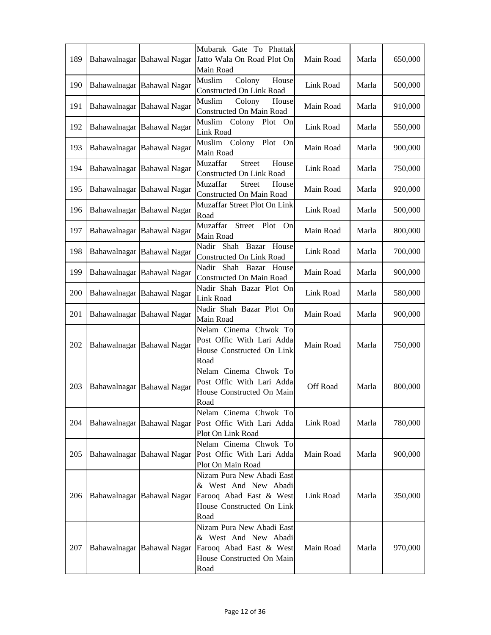| 189 | Bahawalnagar Bahawal Nagar | Mubarak Gate To Phattak<br>Jatto Wala On Road Plot On<br>Main Road                                                | Main Road | Marla | 650,000 |
|-----|----------------------------|-------------------------------------------------------------------------------------------------------------------|-----------|-------|---------|
| 190 | Bahawalnagar Bahawal Nagar | Colony<br>Muslim<br>House<br><b>Constructed On Link Road</b>                                                      | Link Road | Marla | 500,000 |
| 191 | Bahawalnagar Bahawal Nagar | Muslim<br>Colony<br>House<br>Constructed On Main Road                                                             | Main Road | Marla | 910,000 |
| 192 | Bahawalnagar Bahawal Nagar | Muslim<br>Colony Plot<br>On<br><b>Link Road</b>                                                                   | Link Road | Marla | 550,000 |
| 193 | Bahawalnagar Bahawal Nagar | Colony Plot On<br>Muslim<br>Main Road                                                                             | Main Road | Marla | 900,000 |
| 194 | Bahawalnagar Bahawal Nagar | Muzaffar<br><b>Street</b><br>House<br>Constructed On Link Road                                                    | Link Road | Marla | 750,000 |
| 195 | Bahawalnagar Bahawal Nagar | Muzaffar<br><b>Street</b><br>House<br>Constructed On Main Road                                                    | Main Road | Marla | 920,000 |
| 196 | Bahawalnagar Bahawal Nagar | Muzaffar Street Plot On Link<br>Road                                                                              | Link Road | Marla | 500,000 |
| 197 | Bahawalnagar Bahawal Nagar | Muzaffar<br>Street Plot<br>On<br>Main Road                                                                        | Main Road | Marla | 800,000 |
| 198 | Bahawalnagar Bahawal Nagar | Nadir Shah Bazar<br>House<br>Constructed On Link Road                                                             | Link Road | Marla | 700,000 |
| 199 | Bahawalnagar Bahawal Nagar | Nadir Shah<br>Bazar<br>House<br>Constructed On Main Road                                                          | Main Road | Marla | 900,000 |
| 200 | Bahawalnagar Bahawal Nagar | Nadir Shah Bazar Plot On<br>Link Road                                                                             | Link Road | Marla | 580,000 |
| 201 | Bahawalnagar Bahawal Nagar | Nadir Shah Bazar Plot On<br>Main Road                                                                             | Main Road | Marla | 900,000 |
| 202 | Bahawalnagar Bahawal Nagar | Nelam Cinema Chwok To<br>Post Offic With Lari Adda<br>House Constructed On Link<br>Road                           | Main Road | Marla | 750,000 |
| 203 | Bahawalnagar Bahawal Nagar | Nelam Cinema Chwok To<br>Post Offic With Lari Adda<br>House Constructed On Main<br>Road                           | Off Road  | Marla | 800,000 |
| 204 | Bahawalnagar Bahawal Nagar | Nelam Cinema Chwok To<br>Post Offic With Lari Adda<br>Plot On Link Road                                           | Link Road | Marla | 780,000 |
| 205 | Bahawalnagar Bahawal Nagar | Nelam Cinema Chwok To<br>Post Offic With Lari Adda<br>Plot On Main Road                                           | Main Road | Marla | 900,000 |
| 206 | Bahawalnagar Bahawal Nagar | Nizam Pura New Abadi East<br>& West And New Abadi<br>Farooq Abad East & West<br>House Constructed On Link<br>Road | Link Road | Marla | 350,000 |
| 207 | Bahawalnagar Bahawal Nagar | Nizam Pura New Abadi East<br>& West And New Abadi<br>Farooq Abad East & West<br>House Constructed On Main<br>Road | Main Road | Marla | 970,000 |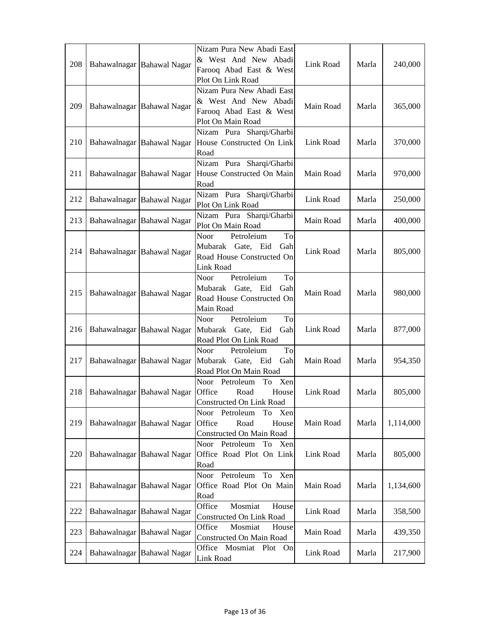| 208 | Bahawalnagar Bahawal Nagar | Nizam Pura New Abadi East<br>& West And New Abadi<br>Farooq Abad East & West<br>Plot On Link Road | Link Road | Marla | 240,000   |
|-----|----------------------------|---------------------------------------------------------------------------------------------------|-----------|-------|-----------|
| 209 | Bahawalnagar Bahawal Nagar | Nizam Pura New Abadi East<br>& West And New Abadi<br>Farooq Abad East & West<br>Plot On Main Road | Main Road | Marla | 365,000   |
| 210 | Bahawalnagar Bahawal Nagar | Nizam Pura Sharqi/Gharbi<br>House Constructed On Link<br>Road                                     | Link Road | Marla | 370,000   |
| 211 | Bahawalnagar Bahawal Nagar | Nizam Pura Sharqi/Gharbi<br>House Constructed On Main<br>Road                                     | Main Road | Marla | 970,000   |
| 212 | Bahawalnagar Bahawal Nagar | Nizam Pura Sharqi/Gharbi<br>Plot On Link Road                                                     | Link Road | Marla | 250,000   |
| 213 | Bahawalnagar Bahawal Nagar | Nizam Pura Sharqi/Gharbi<br>Plot On Main Road                                                     | Main Road | Marla | 400,000   |
| 214 | Bahawalnagar Bahawal Nagar | Petroleium<br>To<br>Noor<br>Eid<br>Mubarak Gate,<br>Gah<br>Road House Constructed On<br>Link Road | Link Road | Marla | 805,000   |
| 215 | Bahawalnagar Bahawal Nagar | Petroleium<br>To<br>Noor<br>Mubarak Gate, Eid<br>Gah<br>Road House Constructed On<br>Main Road    | Main Road | Marla | 980,000   |
| 216 | Bahawalnagar Bahawal Nagar | Petroleium<br>Noor<br>To<br>Mubarak Gate, Eid<br>Gah<br>Road Plot On Link Road                    | Link Road | Marla | 877,000   |
| 217 | Bahawalnagar Bahawal Nagar | Petroleium<br>To<br>Noor<br>Mubarak Gate, Eid<br>Gah<br>Road Plot On Main Road                    | Main Road | Marla | 954,350   |
| 218 | Bahawalnagar Bahawal Nagar | Noor Petroleum<br>To Xen<br>Office<br>Road<br>House<br>Constructed On Link Road                   | Link Road | Marla | 805,000   |
| 219 | Bahawalnagar Bahawal Nagar | Noor Petroleum<br>To Xen<br>Office<br>Road<br>House<br>Constructed On Main Road                   | Main Road | Marla | 1,114,000 |
| 220 | Bahawalnagar Bahawal Nagar | Noor Petroleum<br>To<br>Xen<br>Office Road Plot On Link<br>Road                                   | Link Road | Marla | 805,000   |
| 221 | Bahawalnagar Bahawal Nagar | Noor Petroleum<br>Xen<br>To<br>Office Road Plot On Main<br>Road                                   | Main Road | Marla | 1,134,600 |
| 222 | Bahawalnagar Bahawal Nagar | Office<br>Mosmiat<br>House<br>Constructed On Link Road                                            | Link Road | Marla | 358,500   |
| 223 | Bahawalnagar Bahawal Nagar | Office<br>Mosmiat<br>House<br>Constructed On Main Road                                            | Main Road | Marla | 439,350   |
| 224 | Bahawalnagar Bahawal Nagar | Office Mosmiat Plot On<br>Link Road                                                               | Link Road | Marla | 217,900   |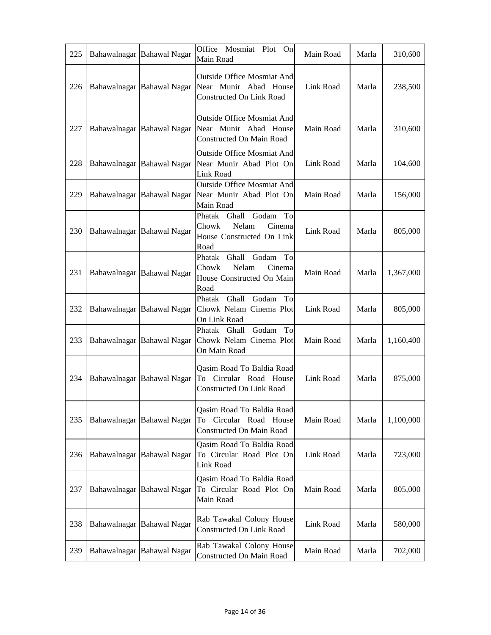| 225 | Bahawalnagar Bahawal Nagar | Office Mosmiat Plot<br>On<br>Main Road                                                    | Main Road | Marla | 310,600   |
|-----|----------------------------|-------------------------------------------------------------------------------------------|-----------|-------|-----------|
| 226 | Bahawalnagar Bahawal Nagar | Outside Office Mosmiat And<br>Near Munir Abad House<br><b>Constructed On Link Road</b>    | Link Road | Marla | 238,500   |
| 227 | Bahawalnagar Bahawal Nagar | Outside Office Mosmiat And<br>Near Munir Abad House<br><b>Constructed On Main Road</b>    | Main Road | Marla | 310,600   |
| 228 | Bahawalnagar Bahawal Nagar | <b>Outside Office Mosmiat And</b><br>Near Munir Abad Plot On<br>Link Road                 | Link Road | Marla | 104,600   |
| 229 | Bahawalnagar Bahawal Nagar | <b>Outside Office Mosmiat And</b><br>Near Munir Abad Plot On<br>Main Road                 | Main Road | Marla | 156,000   |
| 230 | Bahawalnagar Bahawal Nagar | Phatak Ghall Godam<br>To<br>Nelam<br>Cinema<br>Chowk<br>House Constructed On Link<br>Road | Link Road | Marla | 805,000   |
| 231 | Bahawalnagar Bahawal Nagar | Phatak Ghall Godam<br>To<br>Nelam<br>Cinema<br>Chowk<br>House Constructed On Main<br>Road | Main Road | Marla | 1,367,000 |
| 232 | Bahawalnagar Bahawal Nagar | Godam<br>To<br>Phatak<br>Ghall<br>Chowk Nelam Cinema Plot<br>On Link Road                 | Link Road | Marla | 805,000   |
| 233 | Bahawalnagar Bahawal Nagar | To<br>Phatak Ghall<br>Godam<br>Chowk Nelam Cinema Plot<br>On Main Road                    | Main Road | Marla | 1,160,400 |
| 234 | Bahawalnagar Bahawal Nagar | Qasim Road To Baldia Road<br>To Circular Road House<br><b>Constructed On Link Road</b>    | Link Road | Marla | 875,000   |
| 235 | Bahawalnagar Bahawal Nagar | Qasim Road To Baldia Road<br>To Circular Road House<br>Constructed On Main Road           | Main Road | Marla | 1,100,000 |
| 236 | Bahawalnagar Bahawal Nagar | Qasim Road To Baldia Road<br>To Circular Road Plot On<br>Link Road                        | Link Road | Marla | 723,000   |
| 237 | Bahawalnagar Bahawal Nagar | Qasim Road To Baldia Road<br>To Circular Road Plot On<br>Main Road                        | Main Road | Marla | 805,000   |
| 238 | Bahawalnagar Bahawal Nagar | Rab Tawakal Colony House<br><b>Constructed On Link Road</b>                               | Link Road | Marla | 580,000   |
| 239 | Bahawalnagar Bahawal Nagar | Rab Tawakal Colony House<br>Constructed On Main Road                                      | Main Road | Marla | 702,000   |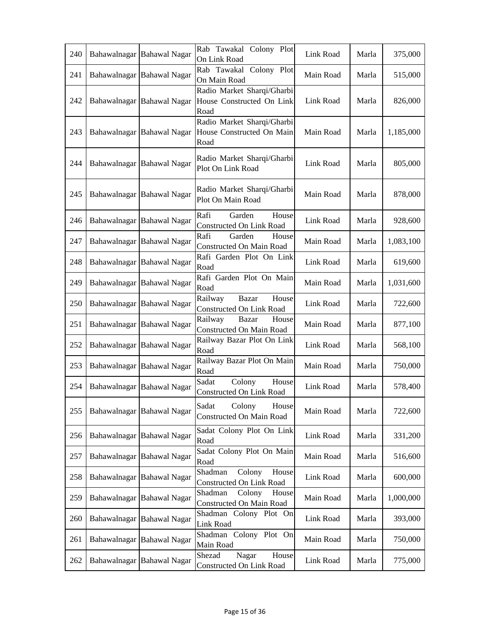| 240 | Bahawalnagar | <b>Bahawal Nagar</b>       | Rab Tawakal Colony Plot<br>On Link Road                         | Link Road | Marla | 375,000   |
|-----|--------------|----------------------------|-----------------------------------------------------------------|-----------|-------|-----------|
| 241 |              | Bahawalnagar Bahawal Nagar | Rab Tawakal Colony Plot<br>On Main Road                         | Main Road | Marla | 515,000   |
| 242 |              | Bahawalnagar Bahawal Nagar | Radio Market Sharqi/Gharbi<br>House Constructed On Link<br>Road | Link Road | Marla | 826,000   |
| 243 |              | Bahawalnagar Bahawal Nagar | Radio Market Sharqi/Gharbi<br>House Constructed On Main<br>Road | Main Road | Marla | 1,185,000 |
| 244 |              | Bahawalnagar Bahawal Nagar | Radio Market Sharqi/Gharbi<br>Plot On Link Road                 | Link Road | Marla | 805,000   |
| 245 |              | Bahawalnagar Bahawal Nagar | Radio Market Sharqi/Gharbi<br>Plot On Main Road                 | Main Road | Marla | 878,000   |
| 246 |              | Bahawalnagar Bahawal Nagar | Rafi<br>Garden<br>House<br>Constructed On Link Road             | Link Road | Marla | 928,600   |
| 247 |              | Bahawalnagar Bahawal Nagar | Rafi<br>Garden<br>House<br>Constructed On Main Road             | Main Road | Marla | 1,083,100 |
| 248 |              | Bahawalnagar Bahawal Nagar | Rafi Garden Plot On Link<br>Road                                | Link Road | Marla | 619,600   |
| 249 |              | Bahawalnagar Bahawal Nagar | Rafi Garden Plot On Main<br>Road                                | Main Road | Marla | 1,031,600 |
| 250 |              | Bahawalnagar Bahawal Nagar | House<br>Railway<br><b>Bazar</b><br>Constructed On Link Road    | Link Road | Marla | 722,600   |
| 251 |              | Bahawalnagar Bahawal Nagar | Railway<br>Bazar<br>House<br>Constructed On Main Road           | Main Road | Marla | 877,100   |
| 252 |              | Bahawalnagar Bahawal Nagar | Railway Bazar Plot On Link<br>Road                              | Link Road | Marla | 568,100   |
| 253 |              | Bahawalnagar Bahawal Nagar | Railway Bazar Plot On Main<br>Road                              | Main Road | Marla | 750,000   |
| 254 |              | Bahawalnagar Bahawal Nagar | Sadat<br>Colony<br>House<br>Constructed On Link Road            | Link Road | Marla | 578,400   |
| 255 |              | Bahawalnagar Bahawal Nagar | Sadat<br>Colony<br>House<br><b>Constructed On Main Road</b>     | Main Road | Marla | 722,600   |
| 256 |              | Bahawalnagar Bahawal Nagar | Sadat Colony Plot On Link<br>Road                               | Link Road | Marla | 331,200   |
| 257 |              | Bahawalnagar Bahawal Nagar | Sadat Colony Plot On Main<br>Road                               | Main Road | Marla | 516,600   |
| 258 | Bahawalnagar | <b>Bahawal Nagar</b>       | Shadman<br>Colony<br>House<br>Constructed On Link Road          | Link Road | Marla | 600,000   |
| 259 |              | Bahawalnagar Bahawal Nagar | Shadman<br>Colony<br>House<br>Constructed On Main Road          | Main Road | Marla | 1,000,000 |
| 260 |              | Bahawalnagar Bahawal Nagar | Shadman Colony Plot On<br>Link Road                             | Link Road | Marla | 393,000   |
| 261 |              | Bahawalnagar Bahawal Nagar | Shadman Colony Plot On<br>Main Road                             | Main Road | Marla | 750,000   |
| 262 |              | Bahawalnagar Bahawal Nagar | Shezad<br>Nagar<br>House<br>Constructed On Link Road            | Link Road | Marla | 775,000   |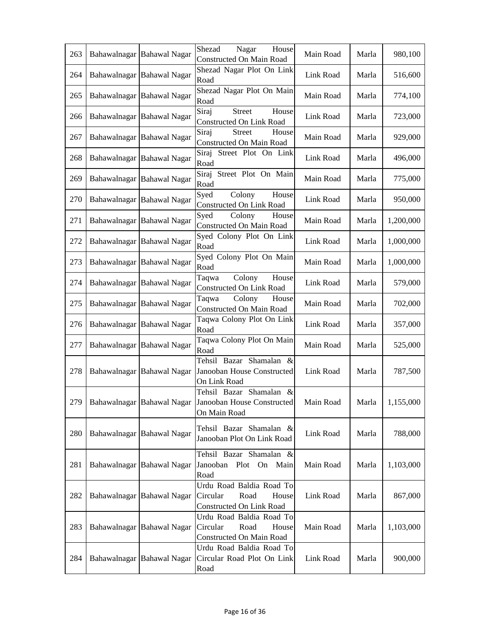| 263 | Bahawalnagar Bahawal Nagar | Shezad<br>Nagar<br>House<br>Constructed On Main Road                                                   | Main Road | Marla | 980,100   |
|-----|----------------------------|--------------------------------------------------------------------------------------------------------|-----------|-------|-----------|
| 264 | Bahawalnagar Bahawal Nagar | Shezad Nagar Plot On Link<br>Road                                                                      | Link Road | Marla | 516,600   |
| 265 | Bahawalnagar Bahawal Nagar | Shezad Nagar Plot On Main<br>Road                                                                      | Main Road | Marla | 774,100   |
| 266 | Bahawalnagar Bahawal Nagar | Siraj<br><b>Street</b><br>House<br>Constructed On Link Road                                            | Link Road | Marla | 723,000   |
| 267 | Bahawalnagar Bahawal Nagar | Siraj<br><b>Street</b><br>House<br>Constructed On Main Road                                            | Main Road | Marla | 929,000   |
| 268 | Bahawalnagar Bahawal Nagar | Street Plot On Link<br>Siraj<br>Road                                                                   | Link Road | Marla | 496,000   |
| 269 | Bahawalnagar Bahawal Nagar | Street Plot On Main<br>Siraj<br>Road                                                                   | Main Road | Marla | 775,000   |
| 270 | Bahawalnagar Bahawal Nagar | Syed<br>Colony<br>House<br>Constructed On Link Road                                                    | Link Road | Marla | 950,000   |
| 271 | Bahawalnagar Bahawal Nagar | Colony<br>Syed<br>House<br>Constructed On Main Road                                                    | Main Road | Marla | 1,200,000 |
| 272 | Bahawalnagar Bahawal Nagar | Syed Colony Plot On Link<br>Road                                                                       | Link Road | Marla | 1,000,000 |
| 273 | Bahawalnagar Bahawal Nagar | Syed Colony Plot On Main<br>Road                                                                       | Main Road | Marla | 1,000,000 |
| 274 | Bahawalnagar Bahawal Nagar | Colony<br>House<br>Taqwa<br>Constructed On Link Road                                                   | Link Road | Marla | 579,000   |
| 275 | Bahawalnagar Bahawal Nagar | Colony<br>House<br>Taqwa<br>Constructed On Main Road                                                   | Main Road | Marla | 702,000   |
| 276 | Bahawalnagar Bahawal Nagar | Taqwa Colony Plot On Link<br>Road                                                                      | Link Road | Marla | 357,000   |
| 277 | Bahawalnagar Bahawal Nagar | Taqwa Colony Plot On Main<br>Road                                                                      | Main Road | Marla | 525,000   |
| 278 | Bahawalnagar Bahawal Nagar | Tehsil Bazar Shamalan &<br>Janooban House Constructed<br>On Link Road                                  | Link Road | Marla | 787,500   |
|     |                            | Tehsil Bazar Shamalan &<br>279   Bahawalnagar Bahawal Nagar Janooban House Constructed<br>On Main Road | Main Road | Marla | 1,155,000 |
| 280 | Bahawalnagar Bahawal Nagar | Tehsil Bazar Shamalan &<br>Janooban Plot On Link Road                                                  | Link Road | Marla | 788,000   |
| 281 | Bahawalnagar Bahawal Nagar | Tehsil Bazar Shamalan &<br>Janooban<br>Plot On Main<br>Road                                            | Main Road | Marla | 1,103,000 |
| 282 | Bahawalnagar Bahawal Nagar | Urdu Road Baldia Road To<br>Circular<br>Road<br>House<br>Constructed On Link Road                      | Link Road | Marla | 867,000   |
| 283 | Bahawalnagar Bahawal Nagar | Urdu Road Baldia Road To<br>Circular<br>Road<br>House<br>Constructed On Main Road                      | Main Road | Marla | 1,103,000 |
| 284 | Bahawalnagar Bahawal Nagar | Urdu Road Baldia Road To<br>Circular Road Plot On Link<br>Road                                         | Link Road | Marla | 900,000   |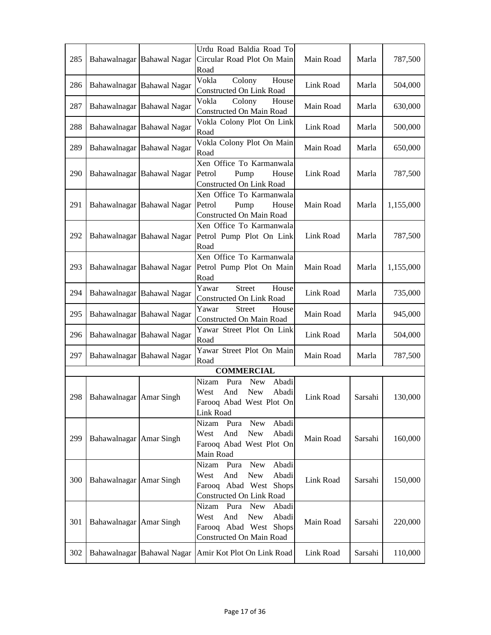| 285 |                         | Bahawalnagar Bahawal Nagar | Urdu Road Baldia Road To<br>Circular Road Plot On Main<br>Road                                                                   | Main Road | Marla   | 787,500   |
|-----|-------------------------|----------------------------|----------------------------------------------------------------------------------------------------------------------------------|-----------|---------|-----------|
| 286 |                         | Bahawalnagar Bahawal Nagar | Vokla<br>Colony<br>House<br>Constructed On Link Road                                                                             | Link Road | Marla   | 504,000   |
| 287 |                         | Bahawalnagar Bahawal Nagar | Colony<br>Vokla<br>House<br>Constructed On Main Road                                                                             | Main Road | Marla   | 630,000   |
| 288 |                         | Bahawalnagar Bahawal Nagar | Vokla Colony Plot On Link<br>Road                                                                                                | Link Road | Marla   | 500,000   |
| 289 |                         | Bahawalnagar Bahawal Nagar | Vokla Colony Plot On Main<br>Road                                                                                                | Main Road | Marla   | 650,000   |
| 290 |                         | Bahawalnagar Bahawal Nagar | Xen Office To Karmanwala<br>Petrol<br>Pump<br>House<br><b>Constructed On Link Road</b>                                           | Link Road | Marla   | 787,500   |
| 291 |                         | Bahawalnagar Bahawal Nagar | Xen Office To Karmanwala<br>Petrol<br>Pump<br>House<br>Constructed On Main Road                                                  | Main Road | Marla   | 1,155,000 |
| 292 |                         | Bahawalnagar Bahawal Nagar | Xen Office To Karmanwala<br>Petrol Pump Plot On Link<br>Road                                                                     | Link Road | Marla   | 787,500   |
| 293 |                         | Bahawalnagar Bahawal Nagar | Xen Office To Karmanwala<br>Petrol Pump Plot On Main<br>Road                                                                     | Main Road | Marla   | 1,155,000 |
| 294 |                         | Bahawalnagar Bahawal Nagar | <b>Street</b><br>House<br>Yawar<br>Constructed On Link Road                                                                      | Link Road | Marla   | 735,000   |
| 295 |                         | Bahawalnagar Bahawal Nagar | Yawar<br><b>Street</b><br>House<br>Constructed On Main Road                                                                      | Main Road | Marla   | 945,000   |
| 296 |                         | Bahawalnagar Bahawal Nagar | Yawar Street Plot On Link<br>Road                                                                                                | Link Road | Marla   | 504,000   |
| 297 |                         | Bahawalnagar Bahawal Nagar | Yawar Street Plot On Main<br>Road                                                                                                | Main Road | Marla   | 787,500   |
|     |                         |                            | <b>COMMERCIAL</b>                                                                                                                |           |         |           |
| 298 | Bahawalnagar Amar Singh |                            | Abadi<br>Nizam<br>Pura<br><b>New</b><br>And<br>New<br>West<br>Abadi<br>Farooq Abad West Plot On<br>Link Road                     | Link Road | Sarsahi | 130,000   |
| 299 | Bahawalnagar Amar Singh |                            | Abadi<br>Nizam<br><b>New</b><br>Pura<br>And<br><b>New</b><br>Abadi<br>West<br>Farooq Abad West Plot On<br>Main Road              | Main Road | Sarsahi | 160,000   |
| 300 | Bahawalnagar Amar Singh |                            | <b>New</b><br>Abadi<br>Nizam Pura<br>West<br>And<br><b>New</b><br>Abadi<br>Farooq Abad West Shops<br>Constructed On Link Road    | Link Road | Sarsahi | 150,000   |
| 301 | Bahawalnagar Amar Singh |                            | Nizam<br>Pura<br><b>New</b><br>Abadi<br>West<br>And<br><b>New</b><br>Abadi<br>Farooq Abad West Shops<br>Constructed On Main Road | Main Road | Sarsahi | 220,000   |
| 302 |                         | Bahawalnagar Bahawal Nagar | Amir Kot Plot On Link Road                                                                                                       | Link Road | Sarsahi | 110,000   |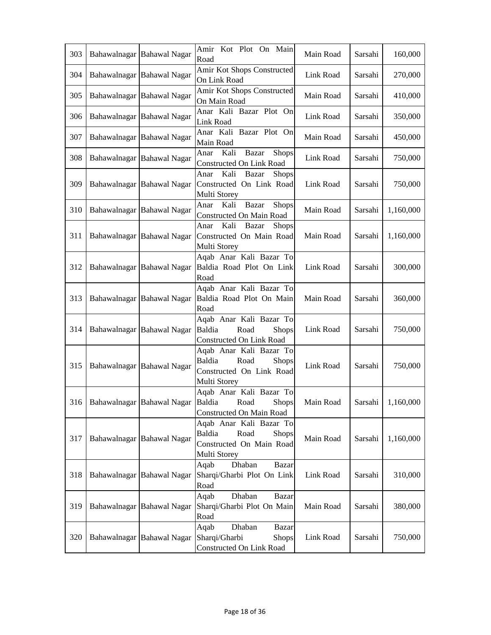| 303 | Bahawalnagar Bahawal Nagar | Amir Kot Plot On Main<br>Road                                                                                           | Main Road | Sarsahi | 160,000   |
|-----|----------------------------|-------------------------------------------------------------------------------------------------------------------------|-----------|---------|-----------|
| 304 | Bahawalnagar Bahawal Nagar | Amir Kot Shops Constructed<br>On Link Road                                                                              | Link Road | Sarsahi | 270,000   |
| 305 | Bahawalnagar Bahawal Nagar | Amir Kot Shops Constructed<br>On Main Road                                                                              | Main Road | Sarsahi | 410,000   |
| 306 | Bahawalnagar Bahawal Nagar | Anar Kali Bazar Plot On<br>Link Road                                                                                    | Link Road | Sarsahi | 350,000   |
| 307 | Bahawalnagar Bahawal Nagar | Anar Kali Bazar Plot On<br>Main Road                                                                                    | Main Road | Sarsahi | 450,000   |
| 308 | Bahawalnagar Bahawal Nagar | Bazar<br><b>Shops</b><br>Kali<br>Anar<br>Constructed On Link Road                                                       | Link Road | Sarsahi | 750,000   |
| 309 | Bahawalnagar Bahawal Nagar | Kali<br>Bazar<br><b>Shops</b><br>Anar<br>Constructed On Link Road<br>Multi Storey                                       | Link Road | Sarsahi | 750,000   |
| 310 | Bahawalnagar Bahawal Nagar | Anar Kali<br>Bazar<br>Shops<br>Constructed On Main Road                                                                 | Main Road | Sarsahi | 1,160,000 |
| 311 | Bahawalnagar Bahawal Nagar | Kali<br><b>Shops</b><br>Bazar<br>Anar<br>Constructed On Main Road<br>Multi Storey                                       | Main Road | Sarsahi | 1,160,000 |
| 312 | Bahawalnagar Bahawal Nagar | Aqab Anar Kali Bazar To<br>Baldia Road Plot On Link<br>Road                                                             | Link Road | Sarsahi | 300,000   |
| 313 | Bahawalnagar Bahawal Nagar | Aqab Anar Kali Bazar To<br>Baldia Road Plot On Main<br>Road                                                             | Main Road | Sarsahi | 360,000   |
| 314 | Bahawalnagar Bahawal Nagar | Aqab Anar Kali Bazar To<br>Baldia<br>Road<br><b>Shops</b><br>Constructed On Link Road                                   | Link Road | Sarsahi | 750,000   |
| 315 | Bahawalnagar Bahawal Nagar | Aqab Anar Kali Bazar To<br>Baldia<br>Road<br><b>Shops</b><br>Constructed On Link Road<br>Multi Storey                   | Link Road | Sarsahi | 750,000   |
|     |                            | Aqab Anar Kali Bazar To<br>316   Bahawalnagar   Bahawal Nagar   Baldia Road<br><b>Shops</b><br>Constructed On Main Road | Main Road | Sarsahi | 1,160,000 |
| 317 | Bahawalnagar Bahawal Nagar | Aqab Anar Kali Bazar To<br>Baldia<br>Road<br><b>Shops</b><br>Constructed On Main Road<br>Multi Storey                   | Main Road | Sarsahi | 1,160,000 |
| 318 | Bahawalnagar Bahawal Nagar | Dhaban<br><b>Bazar</b><br>Aqab<br>Sharqi/Gharbi Plot On Link<br>Road                                                    | Link Road | Sarsahi | 310,000   |
| 319 | Bahawalnagar Bahawal Nagar | Dhaban<br>Aqab<br>Bazar<br>Sharqi/Gharbi Plot On Main<br>Road                                                           | Main Road | Sarsahi | 380,000   |
| 320 | Bahawalnagar Bahawal Nagar | Aqab<br>Dhaban<br><b>Bazar</b><br>Sharqi/Gharbi<br><b>Shops</b><br>Constructed On Link Road                             | Link Road | Sarsahi | 750,000   |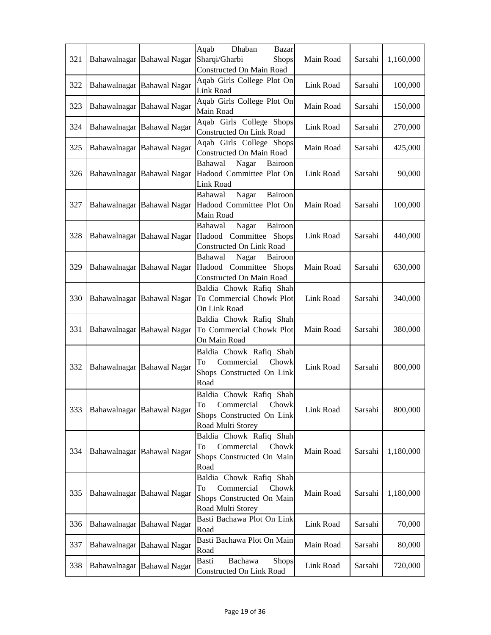|     |                            | Dhaban<br>Aqab<br>Bazar                                 |           |         |           |
|-----|----------------------------|---------------------------------------------------------|-----------|---------|-----------|
| 321 | Bahawalnagar Bahawal Nagar | Sharqi/Gharbi<br><b>Shops</b>                           | Main Road | Sarsahi | 1,160,000 |
|     |                            | Constructed On Main Road                                |           |         |           |
| 322 | Bahawalnagar Bahawal Nagar | Aqab Girls College Plot On                              | Link Road | Sarsahi | 100,000   |
|     |                            | Link Road                                               |           |         |           |
| 323 | Bahawalnagar Bahawal Nagar | Aqab Girls College Plot On                              | Main Road | Sarsahi | 150,000   |
|     |                            | Main Road                                               |           |         |           |
| 324 | Bahawalnagar Bahawal Nagar | Aqab Girls College Shops<br>Constructed On Link Road    | Link Road | Sarsahi | 270,000   |
|     |                            | Aqab Girls College Shops                                |           |         |           |
| 325 | Bahawalnagar Bahawal Nagar | Constructed On Main Road                                | Main Road | Sarsahi | 425,000   |
|     |                            | Bahawal<br>Nagar<br>Bairoon                             |           |         |           |
| 326 | Bahawalnagar Bahawal Nagar | Hadood Committee Plot On                                | Link Road | Sarsahi | 90,000    |
|     |                            | Link Road                                               |           |         |           |
|     |                            | Nagar<br>Bahawal<br>Bairoon                             |           |         |           |
| 327 | Bahawalnagar Bahawal Nagar | Hadood Committee Plot On                                | Main Road | Sarsahi | 100,000   |
|     |                            | Main Road                                               |           |         |           |
|     |                            | Bairoon<br>Nagar<br>Bahawal                             |           |         |           |
| 328 | Bahawalnagar Bahawal Nagar | Hadood Committee Shops                                  | Link Road | Sarsahi | 440,000   |
|     |                            | Constructed On Link Road<br>Bahawal<br>Nagar<br>Bairoon |           |         |           |
| 329 | Bahawalnagar Bahawal Nagar | Hadood Committee Shops                                  | Main Road | Sarsahi | 630,000   |
|     |                            | Constructed On Main Road                                |           |         |           |
|     |                            | Baldia Chowk Rafiq Shah                                 |           |         |           |
| 330 | Bahawalnagar Bahawal Nagar | To Commercial Chowk Plot                                | Link Road | Sarsahi | 340,000   |
|     |                            | On Link Road                                            |           |         |           |
|     |                            | Baldia Chowk Rafiq Shah                                 |           |         |           |
| 331 | Bahawalnagar Bahawal Nagar | To Commercial Chowk Plot                                | Main Road | Sarsahi | 380,000   |
|     |                            | On Main Road                                            |           |         |           |
|     |                            | Baldia Chowk Rafiq Shah                                 |           |         |           |
| 332 | Bahawalnagar Bahawal Nagar | Commercial<br>Chowk<br>To                               | Link Road | Sarsahi | 800,000   |
|     |                            | Shops Constructed On Link<br>Road                       |           |         |           |
|     |                            | Baldia Chowk Rafiq Shah                                 |           |         |           |
|     |                            | Commercial Chowk<br>Ίò                                  |           |         |           |
| 333 | Bahawalnagar Bahawal Nagar | Shops Constructed On Link                               | Link Road | Sarsahi | 800,000   |
|     |                            | Road Multi Storey                                       |           |         |           |
|     |                            | Baldia Chowk Rafiq Shah                                 |           |         |           |
| 334 | Bahawalnagar Bahawal Nagar | Commercial<br>To<br>Chowk                               | Main Road | Sarsahi | 1,180,000 |
|     |                            | Shops Constructed On Main                               |           |         |           |
|     |                            | Road                                                    |           |         |           |
|     |                            | Baldia Chowk Rafiq Shah                                 |           |         |           |
| 335 | Bahawalnagar Bahawal Nagar | Commercial<br>Chowk<br>To                               | Main Road | Sarsahi | 1,180,000 |
|     |                            | Shops Constructed On Main<br>Road Multi Storey          |           |         |           |
|     |                            | Basti Bachawa Plot On Link                              |           |         |           |
| 336 | Bahawalnagar Bahawal Nagar | Road                                                    | Link Road | Sarsahi | 70,000    |
|     |                            | Basti Bachawa Plot On Main                              |           |         |           |
| 337 | Bahawalnagar Bahawal Nagar | Road                                                    | Main Road | Sarsahi | 80,000    |
| 338 | Bahawalnagar Bahawal Nagar | Bachawa<br>Basti<br><b>Shops</b>                        | Link Road | Sarsahi | 720,000   |
|     |                            | Constructed On Link Road                                |           |         |           |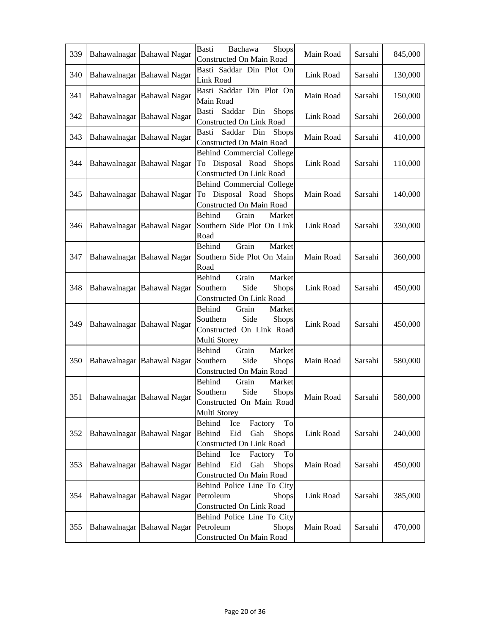| 339 | Bahawalnagar Bahawal Nagar | <b>Basti</b><br>Bachawa<br><b>Shops</b><br>Constructed On Main Road                                       | Main Road | Sarsahi | 845,000 |
|-----|----------------------------|-----------------------------------------------------------------------------------------------------------|-----------|---------|---------|
| 340 | Bahawalnagar Bahawal Nagar | Basti Saddar Din Plot On<br>Link Road                                                                     | Link Road | Sarsahi | 130,000 |
| 341 | Bahawalnagar Bahawal Nagar | Basti Saddar Din Plot On<br>Main Road                                                                     | Main Road | Sarsahi | 150,000 |
| 342 | Bahawalnagar Bahawal Nagar | Basti<br>Saddar<br>Din<br><b>Shops</b><br>Constructed On Link Road                                        | Link Road | Sarsahi | 260,000 |
| 343 | Bahawalnagar Bahawal Nagar | Saddar Din<br>Basti<br><b>Shops</b><br>Constructed On Main Road                                           | Main Road | Sarsahi | 410,000 |
| 344 | Bahawalnagar Bahawal Nagar | Behind Commercial College<br>To Disposal Road Shops<br>Constructed On Link Road                           | Link Road | Sarsahi | 110,000 |
| 345 | Bahawalnagar Bahawal Nagar | Behind Commercial College<br>To Disposal Road Shops<br><b>Constructed On Main Road</b>                    | Main Road | Sarsahi | 140,000 |
| 346 | Bahawalnagar Bahawal Nagar | Behind<br>Grain<br>Market<br>Southern Side Plot On Link<br>Road                                           | Link Road | Sarsahi | 330,000 |
| 347 | Bahawalnagar Bahawal Nagar | Grain<br>Behind<br>Market<br>Southern Side Plot On Main<br>Road                                           | Main Road | Sarsahi | 360,000 |
| 348 | Bahawalnagar Bahawal Nagar | Grain<br>Behind<br>Market<br>Side<br>Southern<br>Shops<br>Constructed On Link Road                        | Link Road | Sarsahi | 450,000 |
| 349 | Bahawalnagar Bahawal Nagar | Behind<br>Grain<br>Market<br>Side<br>Southern<br><b>Shops</b><br>Constructed On Link Road<br>Multi Storey | Link Road | Sarsahi | 450,000 |
| 350 | Bahawalnagar Bahawal Nagar | Market<br>Behind<br>Grain<br>Southern<br>Side<br>Shops<br>Constructed On Main Road                        | Main Road | Sarsahi | 580,000 |
| 351 | Bahawalnagar Bahawal Nagar | Behind<br>Grain<br>Market<br>Side<br>Southern<br>Shops<br>Constructed On Main Road<br>Multi Storey        | Main Road | Sarsahi | 580,000 |
| 352 | Bahawalnagar Bahawal Nagar | To<br>Behind<br>Ice<br>Factory<br>Behind<br>Eid<br>Gah<br>Shops<br>Constructed On Link Road               | Link Road | Sarsahi | 240,000 |
| 353 | Bahawalnagar Bahawal Nagar | Behind<br>Ice<br>To<br>Factory<br>Eid<br>Behind<br>Gah<br><b>Shops</b><br>Constructed On Main Road        | Main Road | Sarsahi | 450,000 |
| 354 | Bahawalnagar Bahawal Nagar | Behind Police Line To City<br>Petroleum<br><b>Shops</b><br><b>Constructed On Link Road</b>                | Link Road | Sarsahi | 385,000 |
| 355 | Bahawalnagar Bahawal Nagar | Behind Police Line To City<br><b>Shops</b><br>Petroleum<br>Constructed On Main Road                       | Main Road | Sarsahi | 470,000 |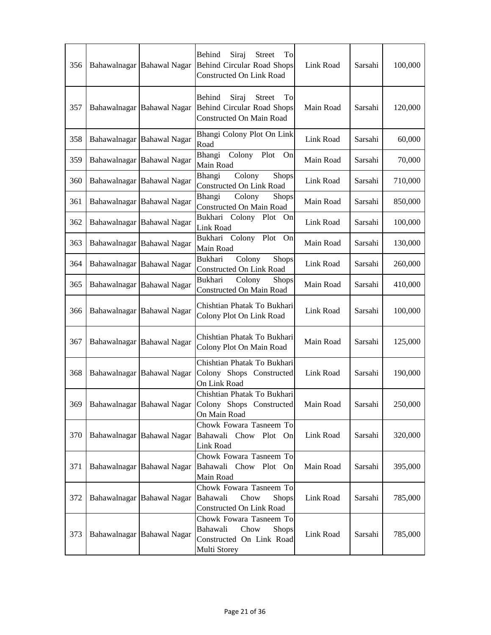| 356 | Bahawalnagar Bahawal Nagar | Behind<br>Siraj<br><b>Street</b><br>To<br><b>Behind Circular Road Shops</b><br>Constructed On Link Road | Link Road | Sarsahi | 100,000 |
|-----|----------------------------|---------------------------------------------------------------------------------------------------------|-----------|---------|---------|
| 357 | Bahawalnagar Bahawal Nagar | Behind<br>Siraj<br><b>Street</b><br>To<br><b>Behind Circular Road Shops</b><br>Constructed On Main Road | Main Road | Sarsahi | 120,000 |
| 358 | Bahawalnagar Bahawal Nagar | Bhangi Colony Plot On Link<br>Road                                                                      | Link Road | Sarsahi | 60,000  |
| 359 | Bahawalnagar Bahawal Nagar | Bhangi<br>Colony<br>Plot<br>On<br>Main Road                                                             | Main Road | Sarsahi | 70,000  |
| 360 | Bahawalnagar Bahawal Nagar | Colony<br>Bhangi<br><b>Shops</b><br>Constructed On Link Road                                            | Link Road | Sarsahi | 710,000 |
| 361 | Bahawalnagar Bahawal Nagar | Colony<br>Bhangi<br><b>Shops</b><br>Constructed On Main Road                                            | Main Road | Sarsahi | 850,000 |
| 362 | Bahawalnagar Bahawal Nagar | Bukhari Colony Plot On<br>Link Road                                                                     | Link Road | Sarsahi | 100,000 |
| 363 | Bahawalnagar Bahawal Nagar | Bukhari<br>Colony Plot On<br>Main Road                                                                  | Main Road | Sarsahi | 130,000 |
| 364 | Bahawalnagar Bahawal Nagar | Colony<br>Bukhari<br>Shops<br>Constructed On Link Road                                                  | Link Road | Sarsahi | 260,000 |
| 365 | Bahawalnagar Bahawal Nagar | Colony<br>Bukhari<br><b>Shops</b><br>Constructed On Main Road                                           | Main Road | Sarsahi | 410,000 |
| 366 | Bahawalnagar Bahawal Nagar | Chishtian Phatak To Bukhari<br>Colony Plot On Link Road                                                 | Link Road | Sarsahi | 100,000 |
| 367 | Bahawalnagar Bahawal Nagar | Chishtian Phatak To Bukhari<br>Colony Plot On Main Road                                                 | Main Road | Sarsahi | 125,000 |
| 368 | Bahawalnagar Bahawal Nagar | Chishtian Phatak To Bukhari<br>Colony Shops Constructed<br>On Link Road                                 | Link Road | Sarsahi | 190,000 |
| 369 | Bahawalnagar Bahawal Nagar | Chishtian Phatak To Bukhari<br>Colony Shops Constructed<br>On Main Road                                 | Main Road | Sarsahi | 250,000 |
| 370 | Bahawalnagar Bahawal Nagar | Chowk Fowara Tasneem To<br>Bahawali Chow Plot On<br>Link Road                                           | Link Road | Sarsahi | 320,000 |
| 371 | Bahawalnagar Bahawal Nagar | Chowk Fowara Tasneem To<br>Bahawali Chow Plot On<br>Main Road                                           | Main Road | Sarsahi | 395,000 |
| 372 | Bahawalnagar Bahawal Nagar | Chowk Fowara Tasneem To<br>Bahawali<br>Chow<br><b>Shops</b><br><b>Constructed On Link Road</b>          | Link Road | Sarsahi | 785,000 |
| 373 | Bahawalnagar Bahawal Nagar | Chowk Fowara Tasneem To<br>Chow<br>Bahawali<br><b>Shops</b><br>Constructed On Link Road<br>Multi Storey | Link Road | Sarsahi | 785,000 |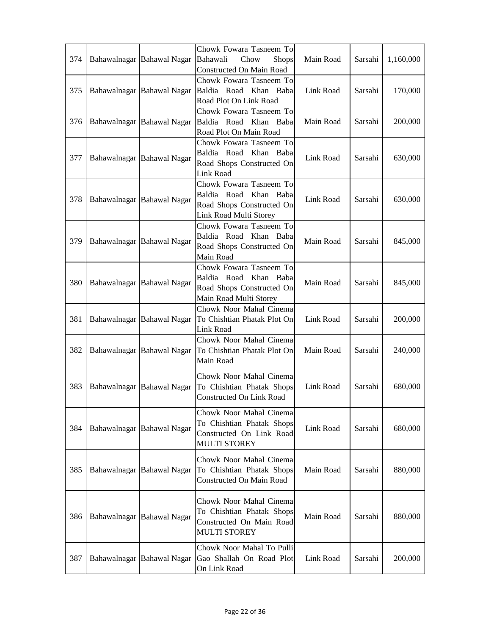|     |                            | Chowk Fowara Tasneem To          |           |         |           |
|-----|----------------------------|----------------------------------|-----------|---------|-----------|
| 374 | Bahawalnagar Bahawal Nagar | Bahawali<br>Chow<br><b>Shops</b> | Main Road | Sarsahi | 1,160,000 |
|     |                            | Constructed On Main Road         |           |         |           |
|     |                            | Chowk Fowara Tasneem To          |           |         |           |
| 375 | Bahawalnagar Bahawal Nagar | Baldia Road Khan Baba            | Link Road | Sarsahi | 170,000   |
|     |                            | Road Plot On Link Road           |           |         |           |
|     |                            | Chowk Fowara Tasneem To          |           |         |           |
| 376 | Bahawalnagar Bahawal Nagar | Baldia Road Khan Baba            | Main Road | Sarsahi | 200,000   |
|     |                            | Road Plot On Main Road           |           |         |           |
|     |                            | Chowk Fowara Tasneem To          |           |         |           |
|     |                            | Baldia Road Khan Baba            |           |         |           |
| 377 | Bahawalnagar Bahawal Nagar | Road Shops Constructed On        | Link Road | Sarsahi | 630,000   |
|     |                            | Link Road                        |           |         |           |
|     |                            | Chowk Fowara Tasneem To          |           |         |           |
|     |                            | Baldia Road Khan Baba            |           |         |           |
| 378 | Bahawalnagar Bahawal Nagar | Road Shops Constructed On        | Link Road | Sarsahi | 630,000   |
|     |                            | Link Road Multi Storey           |           |         |           |
|     |                            | Chowk Fowara Tasneem To          |           |         |           |
|     |                            | Baldia Road Khan Baba            |           |         |           |
| 379 | Bahawalnagar Bahawal Nagar | Road Shops Constructed On        | Main Road | Sarsahi | 845,000   |
|     |                            | Main Road                        |           |         |           |
|     |                            | Chowk Fowara Tasneem To          |           |         |           |
|     |                            | Baldia Road Khan Baba            |           |         |           |
| 380 | Bahawalnagar Bahawal Nagar | Road Shops Constructed On        | Main Road | Sarsahi | 845,000   |
|     |                            | Main Road Multi Storey           |           |         |           |
|     |                            | Chowk Noor Mahal Cinema          |           |         |           |
| 381 | Bahawalnagar Bahawal Nagar | To Chishtian Phatak Plot On      | Link Road | Sarsahi | 200,000   |
|     |                            | Link Road                        |           |         |           |
|     |                            | Chowk Noor Mahal Cinema          |           |         |           |
| 382 | Bahawalnagar Bahawal Nagar | To Chishtian Phatak Plot On      | Main Road | Sarsahi | 240,000   |
|     |                            | Main Road                        |           |         |           |
|     |                            |                                  |           |         |           |
|     |                            | Chowk Noor Mahal Cinema          |           |         |           |
| 383 | Bahawalnagar Bahawal Nagar | To Chishtian Phatak Shops        | Link Road | Sarsahi | 680,000   |
|     |                            | Constructed On Link Road         |           |         |           |
|     |                            | Chowk Noor Mahal Cinema          |           |         |           |
|     |                            | To Chishtian Phatak Shops        |           |         |           |
| 384 | Bahawalnagar Bahawal Nagar | Constructed On Link Road         | Link Road | Sarsahi | 680,000   |
|     |                            | <b>MULTI STOREY</b>              |           |         |           |
|     |                            |                                  |           |         |           |
|     |                            | Chowk Noor Mahal Cinema          |           |         |           |
| 385 | Bahawalnagar Bahawal Nagar | To Chishtian Phatak Shops        | Main Road | Sarsahi | 880,000   |
|     |                            | <b>Constructed On Main Road</b>  |           |         |           |
|     |                            |                                  |           |         |           |
|     |                            | Chowk Noor Mahal Cinema          |           |         |           |
| 386 | Bahawalnagar Bahawal Nagar | To Chishtian Phatak Shops        | Main Road | Sarsahi | 880,000   |
|     |                            | Constructed On Main Road         |           |         |           |
|     |                            | <b>MULTI STOREY</b>              |           |         |           |
|     |                            | Chowk Noor Mahal To Pulli        |           |         |           |
| 387 | Bahawalnagar Bahawal Nagar | Gao Shallah On Road Plot         | Link Road | Sarsahi | 200,000   |
|     |                            | On Link Road                     |           |         |           |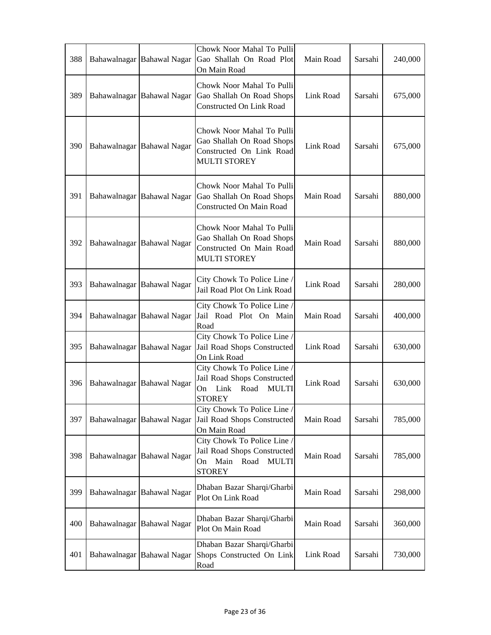| 388 |              | Bahawalnagar Bahawal Nagar | Chowk Noor Mahal To Pulli<br>Gao Shallah On Road Plot<br>On Main Road                                             | Main Road | Sarsahi | 240,000 |
|-----|--------------|----------------------------|-------------------------------------------------------------------------------------------------------------------|-----------|---------|---------|
| 389 |              | Bahawalnagar Bahawal Nagar | Chowk Noor Mahal To Pulli<br>Gao Shallah On Road Shops<br>Constructed On Link Road                                | Link Road | Sarsahi | 675,000 |
| 390 |              | Bahawalnagar Bahawal Nagar | Chowk Noor Mahal To Pulli<br>Gao Shallah On Road Shops<br>Constructed On Link Road<br><b>MULTI STOREY</b>         | Link Road | Sarsahi | 675,000 |
| 391 |              | Bahawalnagar Bahawal Nagar | Chowk Noor Mahal To Pulli<br>Gao Shallah On Road Shops<br>Constructed On Main Road                                | Main Road | Sarsahi | 880,000 |
| 392 |              | Bahawalnagar Bahawal Nagar | Chowk Noor Mahal To Pulli<br>Gao Shallah On Road Shops<br>Constructed On Main Road<br><b>MULTI STOREY</b>         | Main Road | Sarsahi | 880,000 |
| 393 |              | Bahawalnagar Bahawal Nagar | City Chowk To Police Line /<br>Jail Road Plot On Link Road                                                        | Link Road | Sarsahi | 280,000 |
| 394 |              | Bahawalnagar Bahawal Nagar | City Chowk To Police Line /<br>Jail Road Plot On Main<br>Road                                                     | Main Road | Sarsahi | 400,000 |
| 395 |              | Bahawalnagar Bahawal Nagar | City Chowk To Police Line /<br>Jail Road Shops Constructed<br>On Link Road                                        | Link Road | Sarsahi | 630,000 |
| 396 |              | Bahawalnagar Bahawal Nagar | City Chowk To Police Line /<br>Jail Road Shops Constructed<br>Link<br>Road<br><b>MULTI</b><br>On<br><b>STOREY</b> | Link Road | Sarsahi | 630,000 |
| 397 |              | Bahawalnagar Bahawal Nagar | City Chowk To Police Line /<br>Jail Road Shops Constructed<br>On Main Road                                        | Main Road | Sarsahi | 785,000 |
| 398 |              | Bahawalnagar Bahawal Nagar | City Chowk To Police Line /<br>Jail Road Shops Constructed<br>Road<br>Main<br><b>MULTI</b><br>On<br><b>STOREY</b> | Main Road | Sarsahi | 785,000 |
| 399 |              | Bahawalnagar Bahawal Nagar | Dhaban Bazar Sharqi/Gharbi<br>Plot On Link Road                                                                   | Main Road | Sarsahi | 298,000 |
| 400 |              | Bahawalnagar Bahawal Nagar | Dhaban Bazar Sharqi/Gharbi<br>Plot On Main Road                                                                   | Main Road | Sarsahi | 360,000 |
| 401 | Bahawalnagar | <b>Bahawal Nagar</b>       | Dhaban Bazar Sharqi/Gharbi<br>Shops Constructed On Link<br>Road                                                   | Link Road | Sarsahi | 730,000 |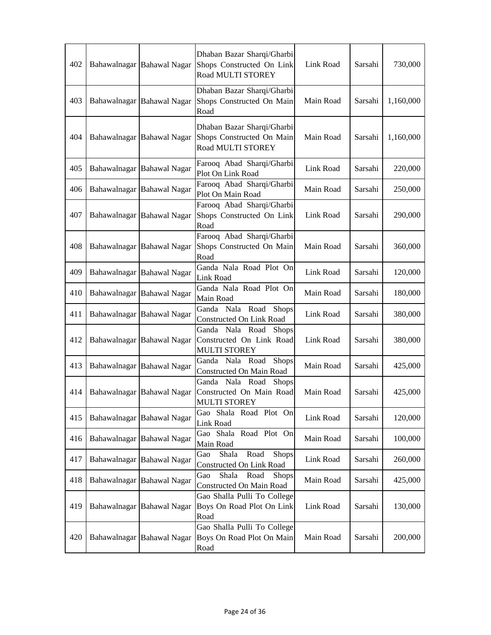| 402 |              | Bahawalnagar Bahawal Nagar | Dhaban Bazar Sharqi/Gharbi<br>Shops Constructed On Link<br>Road MULTI STOREY       | Link Road | Sarsahi | 730,000   |
|-----|--------------|----------------------------|------------------------------------------------------------------------------------|-----------|---------|-----------|
| 403 |              | Bahawalnagar Bahawal Nagar | Dhaban Bazar Sharqi/Gharbi<br>Shops Constructed On Main<br>Road                    | Main Road | Sarsahi | 1,160,000 |
| 404 |              | Bahawalnagar Bahawal Nagar | Dhaban Bazar Sharqi/Gharbi<br>Shops Constructed On Main<br>Road MULTI STOREY       | Main Road | Sarsahi | 1,160,000 |
| 405 |              | Bahawalnagar Bahawal Nagar | Farooq Abad Sharqi/Gharbi<br>Plot On Link Road                                     | Link Road | Sarsahi | 220,000   |
| 406 |              | Bahawalnagar Bahawal Nagar | Farooq Abad Sharqi/Gharbi<br>Plot On Main Road                                     | Main Road | Sarsahi | 250,000   |
| 407 |              | Bahawalnagar Bahawal Nagar | Farooq Abad Sharqi/Gharbi<br>Shops Constructed On Link<br>Road                     | Link Road | Sarsahi | 290,000   |
| 408 |              | Bahawalnagar Bahawal Nagar | Farooq Abad Sharqi/Gharbi<br>Shops Constructed On Main<br>Road                     | Main Road | Sarsahi | 360,000   |
| 409 |              | Bahawalnagar Bahawal Nagar | Ganda Nala Road Plot On<br>Link Road                                               | Link Road | Sarsahi | 120,000   |
| 410 |              | Bahawalnagar Bahawal Nagar | Ganda Nala Road Plot On<br>Main Road                                               | Main Road | Sarsahi | 180,000   |
| 411 | Bahawalnagar | <b>Bahawal Nagar</b>       | Ganda Nala Road<br><b>Shops</b><br>Constructed On Link Road                        | Link Road | Sarsahi | 380,000   |
| 412 |              | Bahawalnagar Bahawal Nagar | Ganda Nala Road<br><b>Shops</b><br>Constructed On Link Road<br><b>MULTI STOREY</b> | Link Road | Sarsahi | 380,000   |
| 413 |              | Bahawalnagar Bahawal Nagar | Ganda Nala Road<br><b>Shops</b><br>Constructed On Main Road                        | Main Road | Sarsahi | 425,000   |
| 414 |              | Bahawalnagar Bahawal Nagar | Ganda Nala Road<br><b>Shops</b><br>Constructed On Main Road<br><b>MULTI STOREY</b> | Main Road | Sarsahi | 425,000   |
| 415 |              | Bahawalnagar Bahawal Nagar | Gao Shala Road Plot On<br>Link Road                                                | Link Road | Sarsahi | 120,000   |
| 416 |              | Bahawalnagar Bahawal Nagar | Gao Shala Road Plot On<br>Main Road                                                | Main Road | Sarsahi | 100,000   |
| 417 |              | Bahawalnagar Bahawal Nagar | Gao<br>Shala<br>Road<br><b>Shops</b><br>Constructed On Link Road                   | Link Road | Sarsahi | 260,000   |
| 418 |              | Bahawalnagar Bahawal Nagar | Shala<br>Road<br>Shops<br>Gao<br>Constructed On Main Road                          | Main Road | Sarsahi | 425,000   |
| 419 |              | Bahawalnagar Bahawal Nagar | Gao Shalla Pulli To College<br>Boys On Road Plot On Link<br>Road                   | Link Road | Sarsahi | 130,000   |
| 420 |              | Bahawalnagar Bahawal Nagar | Gao Shalla Pulli To College<br>Boys On Road Plot On Main<br>Road                   | Main Road | Sarsahi | 200,000   |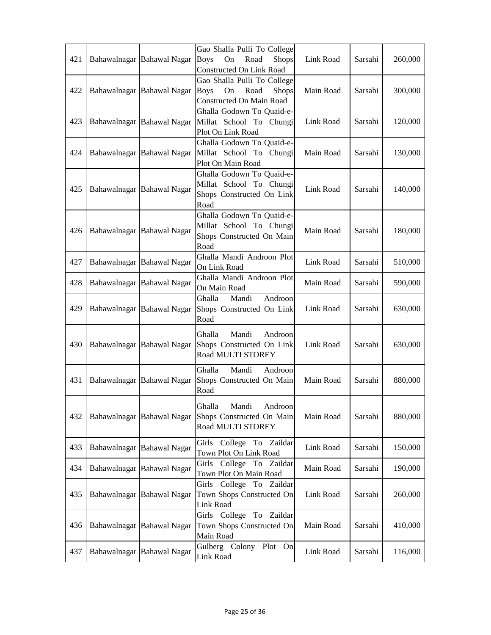| 421 | Bahawalnagar Bahawal Nagar | Gao Shalla Pulli To College<br><b>Boys</b><br>On<br>Road<br><b>Shops</b><br><b>Constructed On Link Road</b> | Link Road | Sarsahi | 260,000 |
|-----|----------------------------|-------------------------------------------------------------------------------------------------------------|-----------|---------|---------|
| 422 | Bahawalnagar Bahawal Nagar | Gao Shalla Pulli To College<br>On<br>Road<br><b>Shops</b><br><b>Boys</b><br>Constructed On Main Road        | Main Road | Sarsahi | 300,000 |
| 423 | Bahawalnagar Bahawal Nagar | Ghalla Godown To Quaid-e-<br>Millat School To Chungi<br>Plot On Link Road                                   | Link Road | Sarsahi | 120,000 |
| 424 | Bahawalnagar Bahawal Nagar | Ghalla Godown To Quaid-e-<br>Millat School To Chungi<br>Plot On Main Road                                   | Main Road | Sarsahi | 130,000 |
| 425 | Bahawalnagar Bahawal Nagar | Ghalla Godown To Quaid-e-<br>Millat School To Chungi<br>Shops Constructed On Link<br>Road                   | Link Road | Sarsahi | 140,000 |
| 426 | Bahawalnagar Bahawal Nagar | Ghalla Godown To Quaid-e-<br>Millat School To Chungi<br>Shops Constructed On Main<br>Road                   | Main Road | Sarsahi | 180,000 |
| 427 | Bahawalnagar Bahawal Nagar | Ghalla Mandi Androon Plot<br>On Link Road                                                                   | Link Road | Sarsahi | 510,000 |
| 428 | Bahawalnagar Bahawal Nagar | Ghalla Mandi Androon Plot<br>On Main Road                                                                   | Main Road | Sarsahi | 590,000 |
| 429 | Bahawalnagar Bahawal Nagar | Ghalla<br>Androon<br>Mandi<br>Shops Constructed On Link<br>Road                                             | Link Road | Sarsahi | 630,000 |
| 430 | Bahawalnagar Bahawal Nagar | Ghalla<br>Mandi<br>Androon<br>Shops Constructed On Link<br>Road MULTI STOREY                                | Link Road | Sarsahi | 630,000 |
| 431 | Bahawalnagar Bahawal Nagar | Mandi<br>Ghalla<br>Androon<br>Shops Constructed On Main<br>Road                                             | Main Road | Sarsahi | 880,000 |
| 432 | Bahawalnagar Bahawal Nagar | Ghalla<br>Mandi<br>Androon<br>Shops Constructed On Main<br>Road MULTI STOREY                                | Main Road | Sarsahi | 880,000 |
| 433 | Bahawalnagar Bahawal Nagar | Girls College To Zaildar<br>Town Plot On Link Road                                                          | Link Road | Sarsahi | 150,000 |
| 434 | Bahawalnagar Bahawal Nagar | Girls College To Zaildar<br>Town Plot On Main Road                                                          | Main Road | Sarsahi | 190,000 |
| 435 | Bahawalnagar Bahawal Nagar | Girls College To Zaildar<br>Town Shops Constructed On<br>Link Road                                          | Link Road | Sarsahi | 260,000 |
| 436 | Bahawalnagar Bahawal Nagar | Girls College To Zaildar<br>Town Shops Constructed On<br>Main Road                                          | Main Road | Sarsahi | 410,000 |
| 437 | Bahawalnagar Bahawal Nagar | Gulberg Colony Plot On<br>Link Road                                                                         | Link Road | Sarsahi | 116,000 |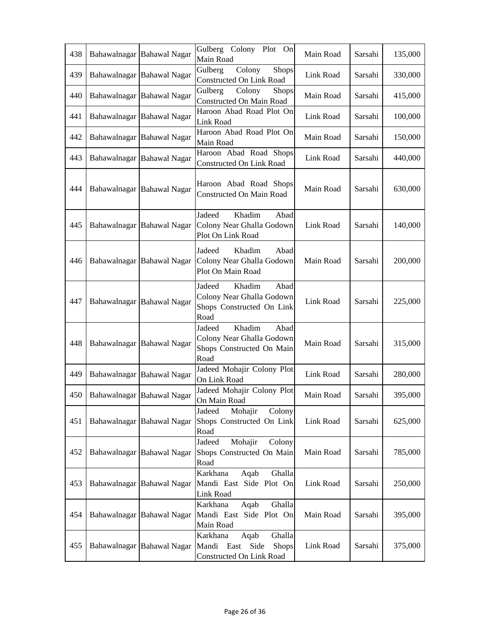| 438 | Bahawalnagar Bahawal Nagar | Gulberg Colony Plot On<br>Main Road                                                        | Main Road | Sarsahi | 135,000 |
|-----|----------------------------|--------------------------------------------------------------------------------------------|-----------|---------|---------|
| 439 | Bahawalnagar Bahawal Nagar | Gulberg<br>Colony<br><b>Shops</b><br>Constructed On Link Road                              | Link Road | Sarsahi | 330,000 |
| 440 | Bahawalnagar Bahawal Nagar | Gulberg<br>Colony<br><b>Shops</b><br>Constructed On Main Road                              | Main Road | Sarsahi | 415,000 |
| 441 | Bahawalnagar Bahawal Nagar | Haroon Abad Road Plot On<br>Link Road                                                      | Link Road | Sarsahi | 100,000 |
| 442 | Bahawalnagar Bahawal Nagar | Haroon Abad Road Plot On<br>Main Road                                                      | Main Road | Sarsahi | 150,000 |
| 443 | Bahawalnagar Bahawal Nagar | Haroon Abad Road Shops<br>Constructed On Link Road                                         | Link Road | Sarsahi | 440,000 |
| 444 | Bahawalnagar Bahawal Nagar | Haroon Abad Road Shops<br>Constructed On Main Road                                         | Main Road | Sarsahi | 630,000 |
| 445 | Bahawalnagar Bahawal Nagar | Jadeed<br>Khadim<br>Abad<br>Colony Near Ghalla Godown<br>Plot On Link Road                 | Link Road | Sarsahi | 140,000 |
| 446 | Bahawalnagar Bahawal Nagar | Abad<br>Jadeed<br>Khadim<br>Colony Near Ghalla Godown<br>Plot On Main Road                 | Main Road | Sarsahi | 200,000 |
| 447 | Bahawalnagar Bahawal Nagar | Jadeed<br>Khadim<br>Abad<br>Colony Near Ghalla Godown<br>Shops Constructed On Link<br>Road | Link Road | Sarsahi | 225,000 |
| 448 | Bahawalnagar Bahawal Nagar | Khadim<br>Jadeed<br>Abad<br>Colony Near Ghalla Godown<br>Shops Constructed On Main<br>Road | Main Road | Sarsahi | 315,000 |
| 449 | Bahawalnagar Bahawal Nagar | Jadeed Mohajir Colony Plot<br>On Link Road                                                 | Link Road | Sarsahi | 280,000 |
| 450 | Bahawalnagar Bahawal Nagar | Jadeed Mohajir Colony Plot<br>On Main Road                                                 | Main Road | Sarsahi | 395,000 |
| 451 | Bahawalnagar Bahawal Nagar | Jadeed<br>Mohajir<br>Colony<br>Shops Constructed On Link<br>Road                           | Link Road | Sarsahi | 625,000 |
| 452 | Bahawalnagar Bahawal Nagar | Mohajir<br>Jadeed<br>Colony<br>Shops Constructed On Main<br>Road                           | Main Road | Sarsahi | 785,000 |
| 453 | Bahawalnagar Bahawal Nagar | Ghalla<br>Karkhana<br>Aqab<br>Mandi East Side Plot On<br>Link Road                         | Link Road | Sarsahi | 250,000 |
| 454 | Bahawalnagar Bahawal Nagar | Aqab<br>Ghalla<br>Karkhana<br>Mandi East Side Plot On<br>Main Road                         | Main Road | Sarsahi | 395,000 |
| 455 | Bahawalnagar Bahawal Nagar | Karkhana<br>Ghalla<br>Aqab<br>Mandi<br>East<br>Side<br>Shops<br>Constructed On Link Road   | Link Road | Sarsahi | 375,000 |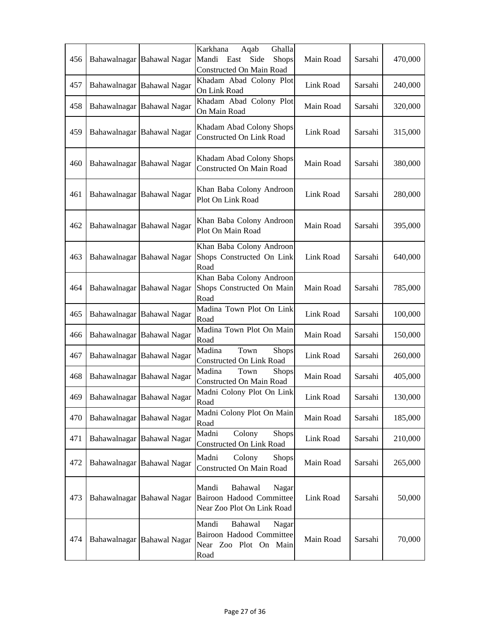| 456 |              | Bahawalnagar Bahawal Nagar | Karkhana<br>Ghalla<br>Aqab<br>Mandi<br>Side<br>Shops<br>East<br><b>Constructed On Main Road</b> | Main Road | Sarsahi | 470,000 |
|-----|--------------|----------------------------|-------------------------------------------------------------------------------------------------|-----------|---------|---------|
| 457 |              | Bahawalnagar Bahawal Nagar | Khadam Abad Colony Plot<br>On Link Road                                                         | Link Road | Sarsahi | 240,000 |
| 458 |              | Bahawalnagar Bahawal Nagar | Khadam Abad Colony Plot<br>On Main Road                                                         | Main Road | Sarsahi | 320,000 |
| 459 |              | Bahawalnagar Bahawal Nagar | Khadam Abad Colony Shops<br>Constructed On Link Road                                            | Link Road | Sarsahi | 315,000 |
| 460 |              | Bahawalnagar Bahawal Nagar | Khadam Abad Colony Shops<br><b>Constructed On Main Road</b>                                     | Main Road | Sarsahi | 380,000 |
| 461 |              | Bahawalnagar Bahawal Nagar | Khan Baba Colony Androon<br>Plot On Link Road                                                   | Link Road | Sarsahi | 280,000 |
| 462 |              | Bahawalnagar Bahawal Nagar | Khan Baba Colony Androon<br>Plot On Main Road                                                   | Main Road | Sarsahi | 395,000 |
| 463 |              | Bahawalnagar Bahawal Nagar | Khan Baba Colony Androon<br>Shops Constructed On Link<br>Road                                   | Link Road | Sarsahi | 640,000 |
| 464 |              | Bahawalnagar Bahawal Nagar | Khan Baba Colony Androon<br>Shops Constructed On Main<br>Road                                   | Main Road | Sarsahi | 785,000 |
| 465 | Bahawalnagar | <b>Bahawal Nagar</b>       | Madina Town Plot On Link<br>Road                                                                | Link Road | Sarsahi | 100,000 |
| 466 |              | Bahawalnagar Bahawal Nagar | Madina Town Plot On Main<br>Road                                                                | Main Road | Sarsahi | 150,000 |
| 467 |              | Bahawalnagar Bahawal Nagar | Town<br>Madina<br>Shops<br>Constructed On Link Road                                             | Link Road | Sarsahi | 260,000 |
| 468 | Bahawalnagar | <b>Bahawal Nagar</b>       | Madina<br>Town<br><b>Shops</b><br>Constructed On Main Road                                      | Main Road | Sarsahi | 405,000 |
| 469 |              | Bahawalnagar Bahawal Nagar | Madni Colony Plot On Link<br>Road                                                               | Link Road | Sarsahi | 130,000 |
| 470 |              | Bahawalnagar Bahawal Nagar | Madni Colony Plot On Main<br>Road                                                               | Main Road | Sarsahi | 185,000 |
| 471 |              | Bahawalnagar Bahawal Nagar | Colony<br>Madni<br>Shops<br>Constructed On Link Road                                            | Link Road | Sarsahi | 210,000 |
| 472 |              | Bahawalnagar Bahawal Nagar | Madni<br>Colony<br><b>Shops</b><br>Constructed On Main Road                                     | Main Road | Sarsahi | 265,000 |
| 473 |              | Bahawalnagar Bahawal Nagar | Mandi<br>Bahawal<br>Nagar<br>Bairoon Hadood Committee<br>Near Zoo Plot On Link Road             | Link Road | Sarsahi | 50,000  |
| 474 |              | Bahawalnagar Bahawal Nagar | Mandi<br>Bahawal<br>Nagar<br><b>Bairoon Hadood Committee</b><br>Near Zoo Plot On Main<br>Road   | Main Road | Sarsahi | 70,000  |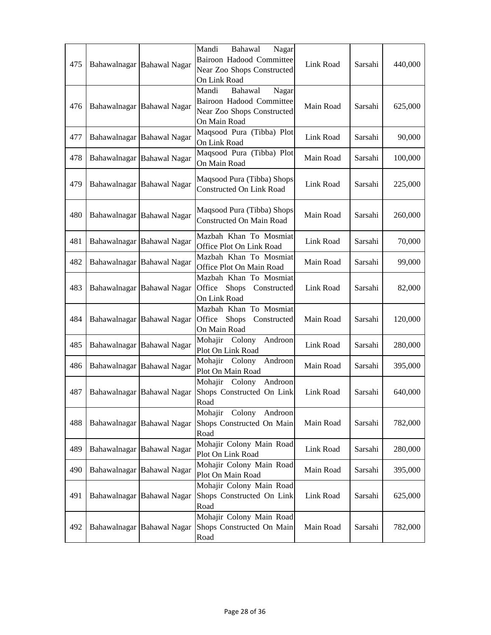| 475 | Bahawalnagar Bahawal Nagar | Mandi<br>Bahawal<br>Nagar<br>Bairoon Hadood Committee<br>Near Zoo Shops Constructed<br>On Link Road | Link Road | Sarsahi | 440,000 |
|-----|----------------------------|-----------------------------------------------------------------------------------------------------|-----------|---------|---------|
| 476 | Bahawalnagar Bahawal Nagar | Mandi<br>Bahawal<br>Nagar<br>Bairoon Hadood Committee<br>Near Zoo Shops Constructed<br>On Main Road | Main Road | Sarsahi | 625,000 |
| 477 | Bahawalnagar Bahawal Nagar | Maqsood Pura (Tibba) Plot<br>On Link Road                                                           | Link Road | Sarsahi | 90,000  |
| 478 | Bahawalnagar Bahawal Nagar | Maqsood Pura (Tibba) Plot<br>On Main Road                                                           | Main Road | Sarsahi | 100,000 |
| 479 | Bahawalnagar Bahawal Nagar | Maqsood Pura (Tibba) Shops<br>Constructed On Link Road                                              | Link Road | Sarsahi | 225,000 |
| 480 | Bahawalnagar Bahawal Nagar | Maqsood Pura (Tibba) Shops<br>Constructed On Main Road                                              | Main Road | Sarsahi | 260,000 |
| 481 | Bahawalnagar Bahawal Nagar | Mazbah Khan To Mosmiat<br>Office Plot On Link Road                                                  | Link Road | Sarsahi | 70,000  |
| 482 | Bahawalnagar Bahawal Nagar | Mazbah Khan To Mosmiat<br>Office Plot On Main Road                                                  | Main Road | Sarsahi | 99,000  |
| 483 | Bahawalnagar Bahawal Nagar | Mazbah Khan To Mosmiat<br>Office<br>Shops<br>Constructed<br>On Link Road                            | Link Road | Sarsahi | 82,000  |
| 484 | Bahawalnagar Bahawal Nagar | Mazbah Khan To Mosmiat<br>Office<br><b>Shops</b><br>Constructed<br>On Main Road                     | Main Road | Sarsahi | 120,000 |
| 485 | Bahawalnagar Bahawal Nagar | Mohajir Colony<br>Androon<br>Plot On Link Road                                                      | Link Road | Sarsahi | 280,000 |
| 486 | Bahawalnagar Bahawal Nagar | Mohajir<br>Colony<br>Androon<br>Plot On Main Road                                                   | Main Road | Sarsahi | 395,000 |
| 487 | Bahawalnagar Bahawal Nagar | Mohajir Colony<br>Androon<br>Shops Constructed On Link<br>Road                                      | Link Road | Sarsahi | 640,000 |
| 488 | Bahawalnagar Bahawal Nagar | Mohajir Colony Androon<br>Shops Constructed On Main<br>Road                                         | Main Road | Sarsahi | 782,000 |
| 489 | Bahawalnagar Bahawal Nagar | Mohajir Colony Main Road<br>Plot On Link Road                                                       | Link Road | Sarsahi | 280,000 |
| 490 | Bahawalnagar Bahawal Nagar | Mohajir Colony Main Road<br>Plot On Main Road                                                       | Main Road | Sarsahi | 395,000 |
| 491 | Bahawalnagar Bahawal Nagar | Mohajir Colony Main Road<br>Shops Constructed On Link<br>Road                                       | Link Road | Sarsahi | 625,000 |
| 492 | Bahawalnagar Bahawal Nagar | Mohajir Colony Main Road<br>Shops Constructed On Main<br>Road                                       | Main Road | Sarsahi | 782,000 |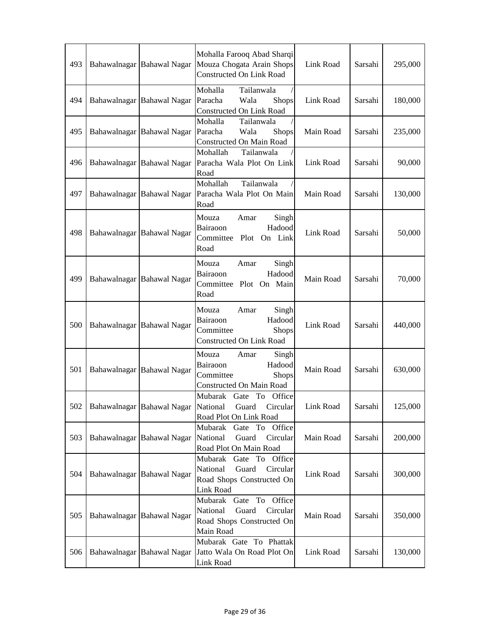| 493 | Bahawalnagar Bahawal Nagar          | Mohalla Farooq Abad Sharqi<br>Mouza Chogata Arain Shops<br><b>Constructed On Link Road</b>                   | Link Road | Sarsahi | 295,000 |
|-----|-------------------------------------|--------------------------------------------------------------------------------------------------------------|-----------|---------|---------|
| 494 | Bahawalnagar Bahawal Nagar          | Tailanwala<br>Mohalla<br>Paracha<br>Wala<br>Shops<br><b>Constructed On Link Road</b>                         | Link Road | Sarsahi | 180,000 |
| 495 | Bahawalnagar Bahawal Nagar          | Mohalla<br>Tailanwala<br>Paracha<br>Wala<br>Shops<br>Constructed On Main Road                                | Main Road | Sarsahi | 235,000 |
| 496 | Bahawalnagar Bahawal Nagar          | Tailanwala<br>Mohallah<br>Paracha Wala Plot On Link<br>Road                                                  | Link Road | Sarsahi | 90,000  |
| 497 | Bahawalnagar Bahawal Nagar          | Tailanwala<br>Mohallah<br>Paracha Wala Plot On Main<br>Road                                                  | Main Road | Sarsahi | 130,000 |
| 498 | Bahawalnagar Bahawal Nagar          | Mouza<br>Amar<br>Singh<br>Bairaoon<br>Hadood<br>Committee<br>Plot<br>On Link<br>Road                         | Link Road | Sarsahi | 50,000  |
| 499 | Bahawalnagar Bahawal Nagar          | Mouza<br>Amar<br>Singh<br>Bairaoon<br>Hadood<br>Committee Plot On Main<br>Road                               | Main Road | Sarsahi | 70,000  |
| 500 | Bahawalnagar Bahawal Nagar          | Mouza<br>Amar<br>Singh<br>Hadood<br>Bairaoon<br>Committee<br><b>Shops</b><br><b>Constructed On Link Road</b> | Link Road | Sarsahi | 440,000 |
| 501 | Bahawalnagar Bahawal Nagar          | Mouza<br>Singh<br>Amar<br>Hadood<br>Bairaoon<br>Committee<br><b>Shops</b><br>Constructed On Main Road        | Main Road | Sarsahi | 630,000 |
| 502 | Bahawalnagar Bahawal Nagar National | Mubarak Gate To Office<br>Guard<br>Circular<br>Road Plot On Link Road                                        | Link Road | Sarsahi | 125,000 |
| 503 | Bahawalnagar Bahawal Nagar          | Mubarak Gate To Office<br>National<br>Guard<br>Circular<br>Road Plot On Main Road                            | Main Road | Sarsahi | 200,000 |
| 504 | Bahawalnagar Bahawal Nagar          | Mubarak<br>Gate To Office<br>National<br>Guard<br>Circular<br>Road Shops Constructed On<br>Link Road         | Link Road | Sarsahi | 300,000 |
| 505 | Bahawalnagar Bahawal Nagar          | Mubarak Gate To Office<br>Guard<br>National<br>Circular<br>Road Shops Constructed On<br>Main Road            | Main Road | Sarsahi | 350,000 |
| 506 | Bahawalnagar Bahawal Nagar          | Mubarak Gate To Phattak<br>Jatto Wala On Road Plot On<br>Link Road                                           | Link Road | Sarsahi | 130,000 |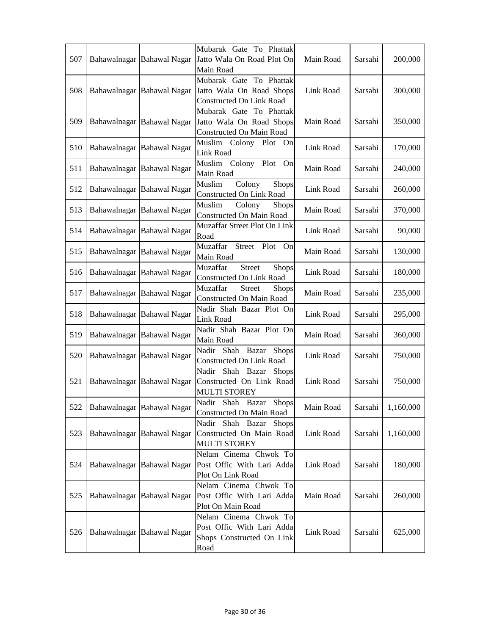| 507 | Bahawalnagar Bahawal Nagar | Mubarak Gate To Phattak<br>Jatto Wala On Road Plot On<br>Main Road                      | Main Road | Sarsahi | 200,000   |
|-----|----------------------------|-----------------------------------------------------------------------------------------|-----------|---------|-----------|
| 508 | Bahawalnagar Bahawal Nagar | Mubarak Gate To Phattak<br>Jatto Wala On Road Shops<br>Constructed On Link Road         | Link Road | Sarsahi | 300,000   |
| 509 | Bahawalnagar Bahawal Nagar | Mubarak Gate To Phattak<br>Jatto Wala On Road Shops<br>Constructed On Main Road         | Main Road | Sarsahi | 350,000   |
| 510 | Bahawalnagar Bahawal Nagar | Muslim Colony Plot On<br>Link Road                                                      | Link Road | Sarsahi | 170,000   |
| 511 | Bahawalnagar Bahawal Nagar | Muslim Colony Plot<br>On<br>Main Road                                                   | Main Road | Sarsahi | 240,000   |
| 512 | Bahawalnagar Bahawal Nagar | Colony<br>Muslim<br>Shops<br>Constructed On Link Road                                   | Link Road | Sarsahi | 260,000   |
| 513 | Bahawalnagar Bahawal Nagar | Muslim<br>Colony<br>Shops<br>Constructed On Main Road                                   | Main Road | Sarsahi | 370,000   |
| 514 | Bahawalnagar Bahawal Nagar | Muzaffar Street Plot On Link<br>Road                                                    | Link Road | Sarsahi | 90,000    |
| 515 | Bahawalnagar Bahawal Nagar | Muzaffar<br>Street Plot<br>On<br>Main Road                                              | Main Road | Sarsahi | 130,000   |
| 516 | Bahawalnagar Bahawal Nagar | Muzaffar<br><b>Street</b><br>Shops<br>Constructed On Link Road                          | Link Road | Sarsahi | 180,000   |
| 517 | Bahawalnagar Bahawal Nagar | Muzaffar<br><b>Street</b><br><b>Shops</b><br>Constructed On Main Road                   | Main Road | Sarsahi | 235,000   |
| 518 | Bahawalnagar Bahawal Nagar | Nadir Shah Bazar Plot On<br>Link Road                                                   | Link Road | Sarsahi | 295,000   |
| 519 | Bahawalnagar Bahawal Nagar | Nadir Shah Bazar Plot On<br>Main Road                                                   | Main Road | Sarsahi | 360,000   |
| 520 | Bahawalnagar Bahawal Nagar | Nadir Shah Bazar Shops<br>Constructed On Link Road                                      | Link Road | Sarsahi | 750,000   |
| 521 | Bahawalnagar Bahawal Nagar | Shah Bazar<br><b>Shops</b><br>Nadir<br>Constructed On Link Road<br><b>MULTI STOREY</b>  | Link Road | Sarsahi | 750,000   |
| 522 | Bahawalnagar Bahawal Nagar | Nadir Shah Bazar Shops<br>Constructed On Main Road                                      | Main Road | Sarsahi | 1,160,000 |
| 523 | Bahawalnagar Bahawal Nagar | Nadir Shah Bazar Shops<br>Constructed On Main Road<br><b>MULTI STOREY</b>               | Link Road | Sarsahi | 1,160,000 |
| 524 | Bahawalnagar Bahawal Nagar | Nelam Cinema Chwok To<br>Post Offic With Lari Adda<br>Plot On Link Road                 | Link Road | Sarsahi | 180,000   |
| 525 | Bahawalnagar Bahawal Nagar | Nelam Cinema Chwok To<br>Post Offic With Lari Adda<br>Plot On Main Road                 | Main Road | Sarsahi | 260,000   |
| 526 | Bahawalnagar Bahawal Nagar | Nelam Cinema Chwok To<br>Post Offic With Lari Adda<br>Shops Constructed On Link<br>Road | Link Road | Sarsahi | 625,000   |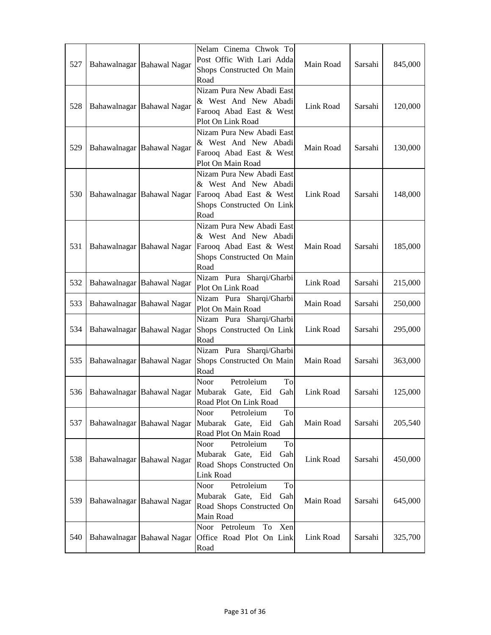| 527 | Bahawalnagar Bahawal Nagar | Nelam Cinema Chwok To<br>Post Offic With Lari Adda<br>Shops Constructed On Main<br>Road                           | Main Road | Sarsahi | 845,000 |
|-----|----------------------------|-------------------------------------------------------------------------------------------------------------------|-----------|---------|---------|
| 528 | Bahawalnagar Bahawal Nagar | Nizam Pura New Abadi East<br>& West And New Abadi<br>Farooq Abad East & West<br>Plot On Link Road                 | Link Road | Sarsahi | 120,000 |
| 529 | Bahawalnagar Bahawal Nagar | Nizam Pura New Abadi East<br>& West And New Abadi<br>Farooq Abad East & West<br>Plot On Main Road                 | Main Road | Sarsahi | 130,000 |
| 530 | Bahawalnagar Bahawal Nagar | Nizam Pura New Abadi East<br>& West And New Abadi<br>Farooq Abad East & West<br>Shops Constructed On Link<br>Road | Link Road | Sarsahi | 148,000 |
| 531 | Bahawalnagar Bahawal Nagar | Nizam Pura New Abadi East<br>& West And New Abadi<br>Farooq Abad East & West<br>Shops Constructed On Main<br>Road | Main Road | Sarsahi | 185,000 |
| 532 | Bahawalnagar Bahawal Nagar | Nizam Pura Sharqi/Gharbi<br>Plot On Link Road                                                                     | Link Road | Sarsahi | 215,000 |
| 533 | Bahawalnagar Bahawal Nagar | Nizam Pura Sharqi/Gharbi<br>Plot On Main Road                                                                     | Main Road | Sarsahi | 250,000 |
| 534 | Bahawalnagar Bahawal Nagar | Nizam Pura Sharqi/Gharbi<br>Shops Constructed On Link<br>Road                                                     | Link Road | Sarsahi | 295,000 |
| 535 | Bahawalnagar Bahawal Nagar | Nizam Pura Sharqi/Gharbi<br>Shops Constructed On Main<br>Road                                                     | Main Road | Sarsahi | 363,000 |
| 536 | Bahawalnagar Bahawal Nagar | Noor<br>Petroleium<br>To<br>Mubarak Gate, Eid<br>Gah<br>Road Plot On Link Road                                    | Link Road | Sarsahi | 125,000 |
| 537 | Bahawalnagar Bahawal Nagar | Noor<br>Petroleium<br>To<br>Mubarak Gate, Eid<br>Gah<br>Road Plot On Main Road                                    | Main Road | Sarsahi | 205,540 |
| 538 | Bahawalnagar Bahawal Nagar | Noor<br>Petroleium<br>$\operatorname{To}$<br>Mubarak Gate, Eid<br>Gah<br>Road Shops Constructed On<br>Link Road   | Link Road | Sarsahi | 450,000 |
| 539 | Bahawalnagar Bahawal Nagar | Petroleium<br>To<br>Noor<br>Mubarak Gate, Eid<br>Gah<br>Road Shops Constructed On<br>Main Road                    | Main Road | Sarsahi | 645,000 |
| 540 | Bahawalnagar Bahawal Nagar | Noor Petroleum<br>To<br>Xen<br>Office Road Plot On Link<br>Road                                                   | Link Road | Sarsahi | 325,700 |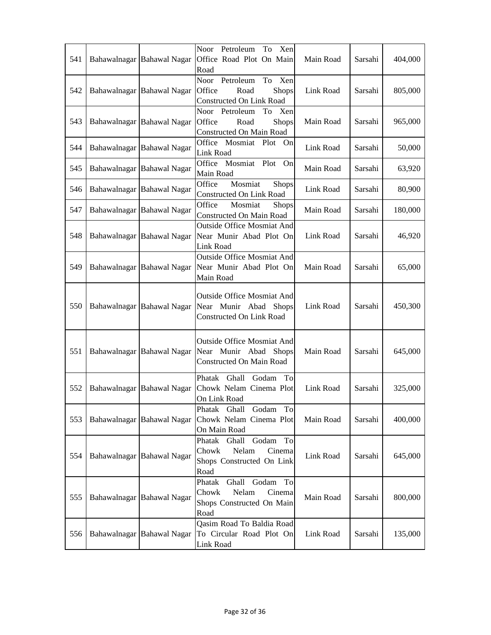| 541 | Bahawalnagar Bahawal Nagar | Petroleum<br>Noor<br>Xen<br>To<br>Office Road Plot On Main<br>Road                              | Main Road | Sarsahi | 404,000 |
|-----|----------------------------|-------------------------------------------------------------------------------------------------|-----------|---------|---------|
| 542 | Bahawalnagar Bahawal Nagar | Noor Petroleum<br>To<br>Xen<br>Shops<br>Office<br>Road<br>Constructed On Link Road              | Link Road | Sarsahi | 805,000 |
| 543 | Bahawalnagar Bahawal Nagar | Noor Petroleum<br>Xen<br>To<br>Office<br>Road<br>Shops<br>Constructed On Main Road              | Main Road | Sarsahi | 965,000 |
| 544 | Bahawalnagar Bahawal Nagar | Office Mosmiat Plot On<br>Link Road                                                             | Link Road | Sarsahi | 50,000  |
| 545 | Bahawalnagar Bahawal Nagar | Office Mosmiat Plot<br>On<br>Main Road                                                          | Main Road | Sarsahi | 63,920  |
| 546 | Bahawalnagar Bahawal Nagar | Mosmiat<br>Office<br>Shops<br>Constructed On Link Road                                          | Link Road | Sarsahi | 80,900  |
| 547 | Bahawalnagar Bahawal Nagar | Office<br>Mosmiat<br><b>Shops</b><br>Constructed On Main Road                                   | Main Road | Sarsahi | 180,000 |
| 548 | Bahawalnagar Bahawal Nagar | <b>Outside Office Mosmiat And</b><br>Near Munir Abad Plot On<br>Link Road                       | Link Road | Sarsahi | 46,920  |
| 549 | Bahawalnagar Bahawal Nagar | <b>Outside Office Mosmiat And</b><br>Near Munir Abad Plot On<br>Main Road                       | Main Road | Sarsahi | 65,000  |
| 550 | Bahawalnagar Bahawal Nagar | Outside Office Mosmiat And<br>Near Munir Abad Shops<br><b>Constructed On Link Road</b>          | Link Road | Sarsahi | 450,300 |
| 551 | Bahawalnagar Bahawal Nagar | Outside Office Mosmiat And<br>Near Munir Abad Shops<br>Constructed On Main Road                 | Main Road | Sarsahi | 645,000 |
| 552 | Bahawalnagar Bahawal Nagar | Phatak Ghall<br>Godam<br>To<br>Chowk Nelam Cinema Plot<br>On Link Road                          | Link Road | Sarsahi | 325,000 |
| 553 | Bahawalnagar Bahawal Nagar | Phatak Ghall<br>Godam<br>To<br>Chowk Nelam Cinema Plot<br>On Main Road                          | Main Road | Sarsahi | 400,000 |
| 554 | Bahawalnagar Bahawal Nagar | Phatak Ghall<br>Godam<br>To<br>Chowk<br>Nelam<br>Cinema<br>Shops Constructed On Link<br>Road    | Link Road | Sarsahi | 645,000 |
| 555 | Bahawalnagar Bahawal Nagar | Godam<br>To<br>Phatak<br>Ghall<br>Chowk<br>Nelam<br>Cinema<br>Shops Constructed On Main<br>Road | Main Road | Sarsahi | 800,000 |
| 556 | Bahawalnagar Bahawal Nagar | Qasim Road To Baldia Road<br>To Circular Road Plot On<br>Link Road                              | Link Road | Sarsahi | 135,000 |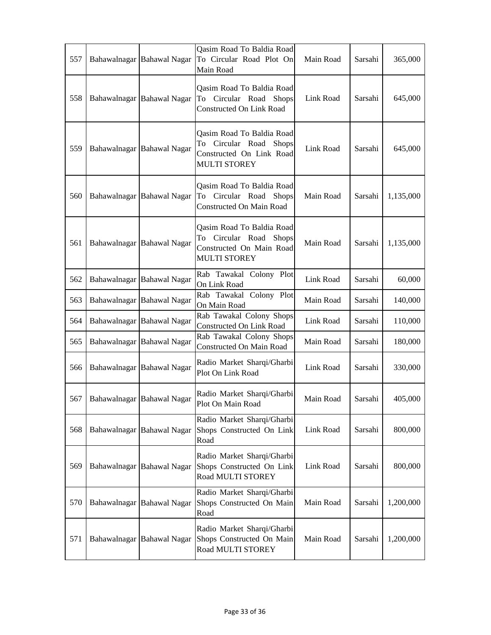| 557 | Bahawalnagar Bahawal Nagar | Qasim Road To Baldia Road<br>To Circular Road Plot On<br>Main Road                                                  | Main Road | Sarsahi | 365,000   |
|-----|----------------------------|---------------------------------------------------------------------------------------------------------------------|-----------|---------|-----------|
| 558 | Bahawalnagar Bahawal Nagar | Qasim Road To Baldia Road<br>To Circular Road Shops<br>Constructed On Link Road                                     | Link Road | Sarsahi | 645,000   |
| 559 | Bahawalnagar Bahawal Nagar | Qasim Road To Baldia Road<br>To Circular Road<br><b>Shops</b><br>Constructed On Link Road<br><b>MULTI STOREY</b>    | Link Road | Sarsahi | 645,000   |
| 560 | Bahawalnagar Bahawal Nagar | Qasim Road To Baldia Road<br>To Circular Road Shops<br>Constructed On Main Road                                     | Main Road | Sarsahi | 1,135,000 |
| 561 | Bahawalnagar Bahawal Nagar | Qasim Road To Baldia Road<br>Circular Road<br><b>Shops</b><br>To<br>Constructed On Main Road<br><b>MULTI STOREY</b> | Main Road | Sarsahi | 1,135,000 |
| 562 | Bahawalnagar Bahawal Nagar | Rab Tawakal Colony Plot<br>On Link Road                                                                             | Link Road | Sarsahi | 60,000    |
| 563 | Bahawalnagar Bahawal Nagar | Rab Tawakal Colony Plot<br>On Main Road                                                                             | Main Road | Sarsahi | 140,000   |
| 564 | Bahawalnagar Bahawal Nagar | Rab Tawakal Colony Shops<br>Constructed On Link Road                                                                | Link Road | Sarsahi | 110,000   |
| 565 | Bahawalnagar Bahawal Nagar | Rab Tawakal Colony Shops<br>Constructed On Main Road                                                                | Main Road | Sarsahi | 180,000   |
| 566 | Bahawalnagar Bahawal Nagar | Radio Market Sharqi/Gharbi<br>Plot On Link Road                                                                     | Link Road | Sarsahi | 330,000   |
| 567 | Bahawalnagar Bahawal Nagar | Radio Market Sharqi/Gharbi<br>Plot On Main Road                                                                     | Main Road | Sarsahi | 405,000   |
| 568 | Bahawalnagar Bahawal Nagar | Radio Market Sharqi/Gharbi<br>Shops Constructed On Link<br>Road                                                     | Link Road | Sarsahi | 800,000   |
| 569 | Bahawalnagar Bahawal Nagar | Radio Market Sharqi/Gharbi<br>Shops Constructed On Link<br>Road MULTI STOREY                                        | Link Road | Sarsahi | 800,000   |
| 570 | Bahawalnagar Bahawal Nagar | Radio Market Sharqi/Gharbi<br>Shops Constructed On Main<br>Road                                                     | Main Road | Sarsahi | 1,200,000 |
| 571 | Bahawalnagar Bahawal Nagar | Radio Market Sharqi/Gharbi<br>Shops Constructed On Main<br>Road MULTI STOREY                                        | Main Road | Sarsahi | 1,200,000 |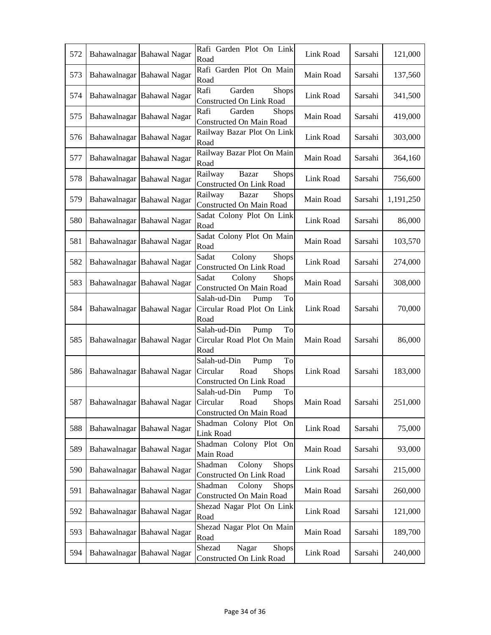| 572 | Bahawalnagar Bahawal Nagar | Rafi Garden Plot On Link<br>Road                                                                                      | Link Road | Sarsahi | 121,000   |
|-----|----------------------------|-----------------------------------------------------------------------------------------------------------------------|-----------|---------|-----------|
| 573 | Bahawalnagar Bahawal Nagar | Rafi Garden Plot On Main<br>Road                                                                                      | Main Road | Sarsahi | 137,560   |
| 574 | Bahawalnagar Bahawal Nagar | Rafi<br>Garden<br><b>Shops</b><br>Constructed On Link Road                                                            | Link Road | Sarsahi | 341,500   |
| 575 | Bahawalnagar Bahawal Nagar | Rafi<br>Garden<br><b>Shops</b><br>Constructed On Main Road                                                            | Main Road | Sarsahi | 419,000   |
| 576 | Bahawalnagar Bahawal Nagar | Railway Bazar Plot On Link<br>Road                                                                                    | Link Road | Sarsahi | 303,000   |
| 577 | Bahawalnagar Bahawal Nagar | Railway Bazar Plot On Main<br>Road                                                                                    | Main Road | Sarsahi | 364,160   |
| 578 | Bahawalnagar Bahawal Nagar | Railway<br><b>Shops</b><br>Bazar<br><b>Constructed On Link Road</b>                                                   | Link Road | Sarsahi | 756,600   |
| 579 | Bahawalnagar Bahawal Nagar | Railway<br>Bazar<br><b>Shops</b><br><b>Constructed On Main Road</b>                                                   | Main Road | Sarsahi | 1,191,250 |
| 580 | Bahawalnagar Bahawal Nagar | Sadat Colony Plot On Link<br>Road                                                                                     | Link Road | Sarsahi | 86,000    |
| 581 | Bahawalnagar Bahawal Nagar | Sadat Colony Plot On Main<br>Road                                                                                     | Main Road | Sarsahi | 103,570   |
| 582 | Bahawalnagar Bahawal Nagar | Sadat<br>Colony<br><b>Shops</b><br><b>Constructed On Link Road</b>                                                    | Link Road | Sarsahi | 274,000   |
| 583 | Bahawalnagar Bahawal Nagar | Sadat<br>Colony<br><b>Shops</b><br>Constructed On Main Road                                                           | Main Road | Sarsahi | 308,000   |
| 584 | Bahawalnagar Bahawal Nagar | Salah-ud-Din<br>Pump<br>To<br>Circular Road Plot On Link<br>Road                                                      | Link Road | Sarsahi | 70,000    |
| 585 | Bahawalnagar Bahawal Nagar | Salah-ud-Din<br>Pump<br>To<br>Circular Road Plot On Main<br>Road                                                      | Main Road | Sarsahi | 86,000    |
| 586 | Bahawalnagar Bahawal Nagar | To<br>Salah-ud-Din<br>Pump<br>Circular<br>Road<br>Shops<br>Constructed On Link Road                                   | Link Road | Sarsahi | 183,000   |
|     |                            | Salah-ud-Din<br>To<br>Pump<br>587   Bahawalnagar   Bahawal Nagar   Circular Road<br>Shops<br>Constructed On Main Road | Main Road | Sarsahi | 251,000   |
| 588 | Bahawalnagar Bahawal Nagar | Shadman Colony Plot On<br>Link Road                                                                                   | Link Road | Sarsahi | 75,000    |
| 589 | Bahawalnagar Bahawal Nagar | Shadman Colony Plot On<br>Main Road                                                                                   | Main Road | Sarsahi | 93,000    |
| 590 | Bahawalnagar Bahawal Nagar | Colony<br>Shops<br>Shadman<br>Constructed On Link Road                                                                | Link Road | Sarsahi | 215,000   |
| 591 | Bahawalnagar Bahawal Nagar | Shadman<br>Colony<br><b>Shops</b><br>Constructed On Main Road                                                         | Main Road | Sarsahi | 260,000   |
| 592 | Bahawalnagar Bahawal Nagar | Shezad Nagar Plot On Link<br>Road                                                                                     | Link Road | Sarsahi | 121,000   |
| 593 | Bahawalnagar Bahawal Nagar | Shezad Nagar Plot On Main<br>Road                                                                                     | Main Road | Sarsahi | 189,700   |
| 594 | Bahawalnagar Bahawal Nagar | Nagar<br>Shezad<br><b>Shops</b><br>Constructed On Link Road                                                           | Link Road | Sarsahi | 240,000   |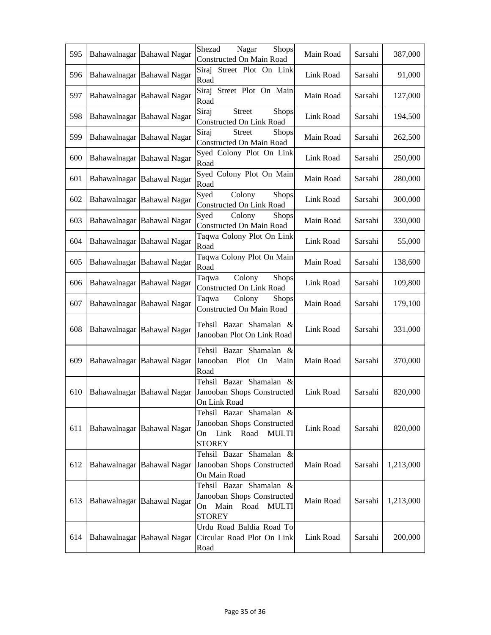| 595 | Bahawalnagar Bahawal Nagar | Shezad<br>Nagar<br><b>Shops</b><br>Constructed On Main Road                                                  | Main Road | Sarsahi | 387,000   |
|-----|----------------------------|--------------------------------------------------------------------------------------------------------------|-----------|---------|-----------|
| 596 | Bahawalnagar Bahawal Nagar | Siraj<br>Street Plot On Link<br>Road                                                                         | Link Road | Sarsahi | 91,000    |
| 597 | Bahawalnagar Bahawal Nagar | Street Plot On Main<br>Siraj<br>Road                                                                         | Main Road | Sarsahi | 127,000   |
| 598 | Bahawalnagar Bahawal Nagar | Siraj<br><b>Street</b><br><b>Shops</b><br>Constructed On Link Road                                           | Link Road | Sarsahi | 194,500   |
| 599 | Bahawalnagar Bahawal Nagar | Siraj<br>Shops<br><b>Street</b><br>Constructed On Main Road                                                  | Main Road | Sarsahi | 262,500   |
| 600 | Bahawalnagar Bahawal Nagar | Syed Colony Plot On Link<br>Road                                                                             | Link Road | Sarsahi | 250,000   |
| 601 | Bahawalnagar Bahawal Nagar | Syed Colony Plot On Main<br>Road                                                                             | Main Road | Sarsahi | 280,000   |
| 602 | Bahawalnagar Bahawal Nagar | Syed<br>Colony<br><b>Shops</b><br>Constructed On Link Road                                                   | Link Road | Sarsahi | 300,000   |
| 603 | Bahawalnagar Bahawal Nagar | Colony<br>Syed<br><b>Shops</b><br>Constructed On Main Road                                                   | Main Road | Sarsahi | 330,000   |
| 604 | Bahawalnagar Bahawal Nagar | Taqwa Colony Plot On Link<br>Road                                                                            | Link Road | Sarsahi | 55,000    |
| 605 | Bahawalnagar Bahawal Nagar | Taqwa Colony Plot On Main<br>Road                                                                            | Main Road | Sarsahi | 138,600   |
| 606 | Bahawalnagar Bahawal Nagar | Colony<br><b>Shops</b><br>Taqwa<br>Constructed On Link Road                                                  | Link Road | Sarsahi | 109,800   |
| 607 | Bahawalnagar Bahawal Nagar | Colony<br>Taqwa<br><b>Shops</b><br>Constructed On Main Road                                                  | Main Road | Sarsahi | 179,100   |
| 608 | Bahawalnagar Bahawal Nagar | Tehsil Bazar Shamalan &<br>Janooban Plot On Link Road                                                        | Link Road | Sarsahi | 331,000   |
| 609 | Bahawalnagar Bahawal Nagar | Tehsil Bazar Shamalan &<br>Janooban<br>Plot<br>On<br>Main<br>Road                                            | Main Road | Sarsahi | 370,000   |
| 610 | Bahawalnagar Bahawal Nagar | Tehsil Bazar Shamalan &<br>Janooban Shops Constructed<br>On Link Road                                        | Link Road | Sarsahi | 820,000   |
| 611 | Bahawalnagar Bahawal Nagar | Tehsil Bazar Shamalan &<br>Janooban Shops Constructed<br>Road<br><b>MULTI</b><br>Link<br>On<br><b>STOREY</b> | Link Road | Sarsahi | 820,000   |
| 612 | Bahawalnagar Bahawal Nagar | Tehsil Bazar Shamalan &<br>Janooban Shops Constructed<br>On Main Road                                        | Main Road | Sarsahi | 1,213,000 |
| 613 | Bahawalnagar Bahawal Nagar | Tehsil Bazar Shamalan &<br>Janooban Shops Constructed<br>On Main<br>Road<br><b>MULTI</b><br><b>STOREY</b>    | Main Road | Sarsahi | 1,213,000 |
| 614 | Bahawalnagar Bahawal Nagar | Urdu Road Baldia Road To<br>Circular Road Plot On Link<br>Road                                               | Link Road | Sarsahi | 200,000   |